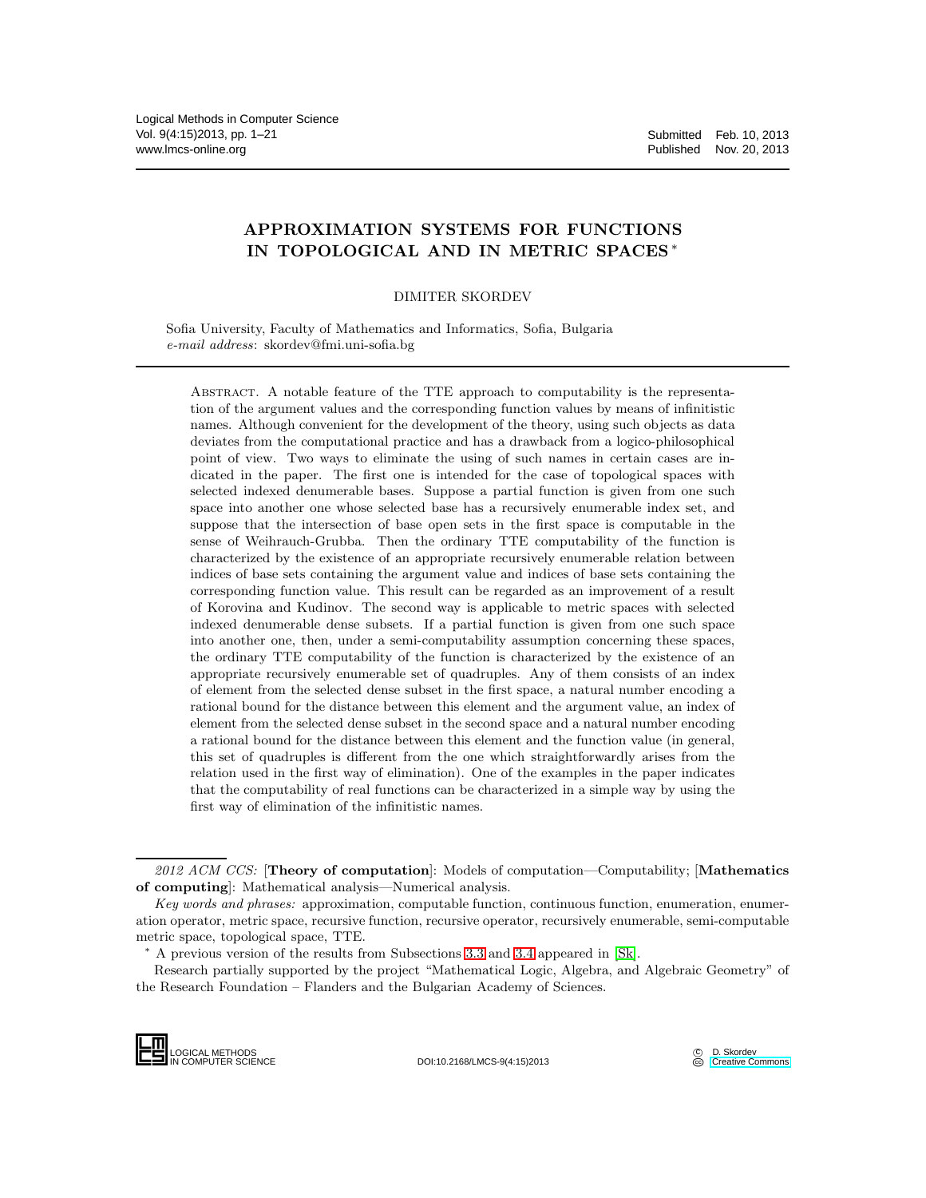# APPROXIMATION SYSTEMS FOR FUNCTIONS IN TOPOLOGICAL AND IN METRIC SPACES <sup>∗</sup>

### DIMITER SKORDEV

Sofia University, Faculty of Mathematics and Informatics, Sofia, Bulgaria e-mail address: skordev@fmi.uni-sofia.bg

Abstract. A notable feature of the TTE approach to computability is the representation of the argument values and the corresponding function values by means of infinitistic names. Although convenient for the development of the theory, using such objects as data deviates from the computational practice and has a drawback from a logico-philosophical point of view. Two ways to eliminate the using of such names in certain cases are indicated in the paper. The first one is intended for the case of topological spaces with selected indexed denumerable bases. Suppose a partial function is given from one such space into another one whose selected base has a recursively enumerable index set, and suppose that the intersection of base open sets in the first space is computable in the sense of Weihrauch-Grubba. Then the ordinary TTE computability of the function is characterized by the existence of an appropriate recursively enumerable relation between indices of base sets containing the argument value and indices of base sets containing the corresponding function value. This result can be regarded as an improvement of a result of Korovina and Kudinov. The second way is applicable to metric spaces with selected indexed denumerable dense subsets. If a partial function is given from one such space into another one, then, under a semi-computability assumption concerning these spaces, the ordinary TTE computability of the function is characterized by the existence of an appropriate recursively enumerable set of quadruples. Any of them consists of an index of element from the selected dense subset in the first space, a natural number encoding a rational bound for the distance between this element and the argument value, an index of element from the selected dense subset in the second space and a natural number encoding a rational bound for the distance between this element and the function value (in general, this set of quadruples is different from the one which straightforwardly arises from the relation used in the first way of elimination). One of the examples in the paper indicates that the computability of real functions can be characterized in a simple way by using the first way of elimination of the infinitistic names.

Research partially supported by the project "Mathematical Logic, Algebra, and Algebraic Geometry" of the Research Foundation – Flanders and the Bulgarian Academy of Sciences.



DOI:10.2168/LMCS-9(4:15)2013

D. Skordev **CC** [Creative Commons](http://creativecommons.org/about/licenses)

<sup>2012</sup> ACM CCS: [Theory of computation]: Models of computation—Computability; [Mathematics of computing]: Mathematical analysis—Numerical analysis.

Key words and phrases: approximation, computable function, continuous function, enumeration, enumeration operator, metric space, recursive function, recursive operator, recursively enumerable, semi-computable metric space, topological space, TTE.

<sup>∗</sup> A previous version of the results from Subsections [3.3](#page-11-0) and [3.4](#page-13-0) appeared in [\[Sk\]](#page-20-0).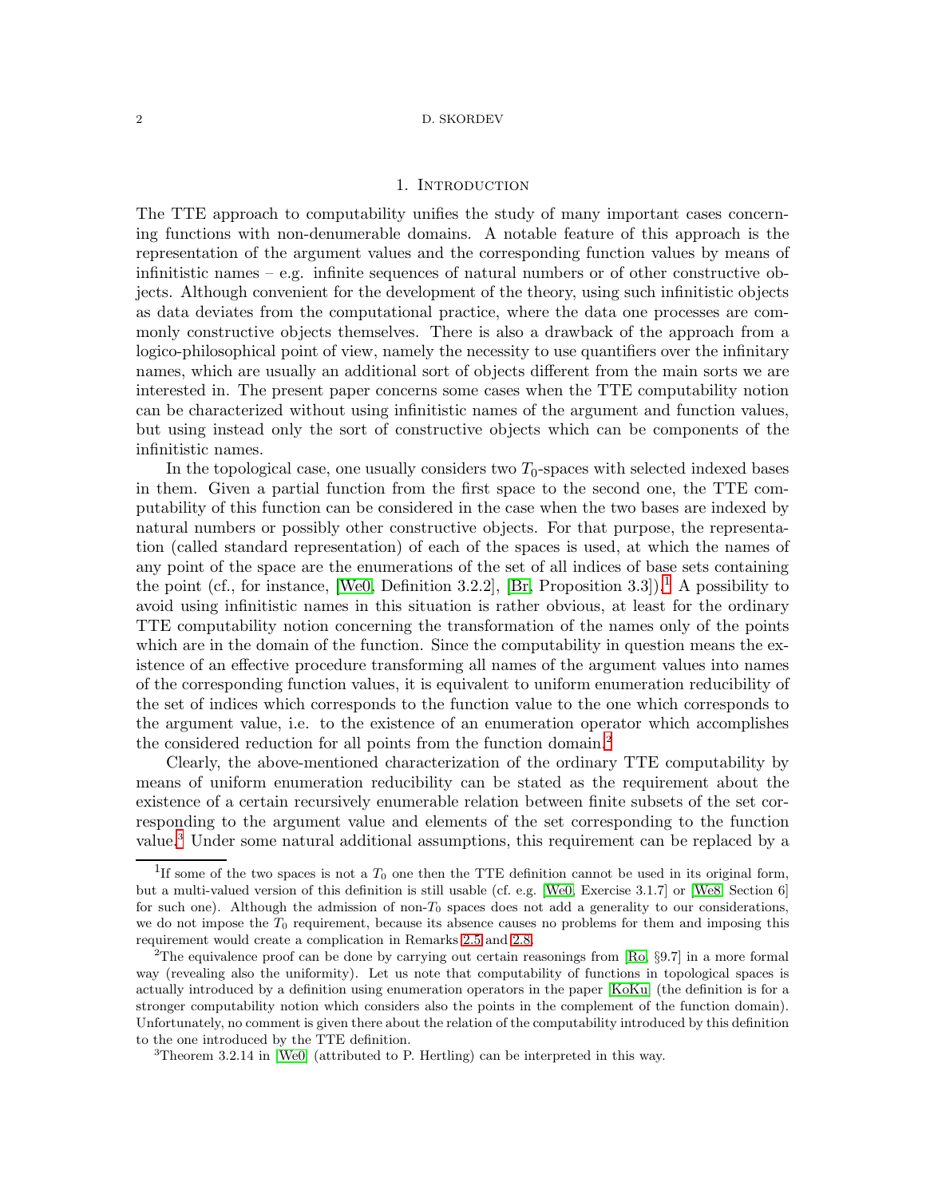### 1. Introduction

<span id="page-1-3"></span>The TTE approach to computability unifies the study of many important cases concerning functions with non-denumerable domains. A notable feature of this approach is the representation of the argument values and the corresponding function values by means of infinitistic names – e.g. infinite sequences of natural numbers or of other constructive objects. Although convenient for the development of the theory, using such infinitistic objects as data deviates from the computational practice, where the data one processes are commonly constructive objects themselves. There is also a drawback of the approach from a logico-philosophical point of view, namely the necessity to use quantifiers over the infinitary names, which are usually an additional sort of objects different from the main sorts we are interested in. The present paper concerns some cases when the TTE computability notion can be characterized without using infinitistic names of the argument and function values, but using instead only the sort of constructive objects which can be components of the infinitistic names.

In the topological case, one usually considers two  $T_0$ -spaces with selected indexed bases in them. Given a partial function from the first space to the second one, the TTE computability of this function can be considered in the case when the two bases are indexed by natural numbers or possibly other constructive objects. For that purpose, the representation (called standard representation) of each of the spaces is used, at which the names of any point of the space are the enumerations of the set of all indices of base sets containing the point (cf., for instance, [\[We0,](#page-20-1) Definition 3.2.2], [\[Br,](#page-20-2) Proposition 3.3]).<sup>[1](#page-1-0)</sup> A possibility to avoid using infinitistic names in this situation is rather obvious, at least for the ordinary TTE computability notion concerning the transformation of the names only of the points which are in the domain of the function. Since the computability in question means the existence of an effective procedure transforming all names of the argument values into names of the corresponding function values, it is equivalent to uniform enumeration reducibility of the set of indices which corresponds to the function value to the one which corresponds to the argument value, i.e. to the existence of an enumeration operator which accomplishes the considered reduction for all points from the function domain.<sup>[2](#page-1-1)</sup>

Clearly, the above-mentioned characterization of the ordinary TTE computability by means of uniform enumeration reducibility can be stated as the requirement about the existence of a certain recursively enumerable relation between finite subsets of the set corresponding to the argument value and elements of the set corresponding to the function value.[3](#page-1-2) Under some natural additional assumptions, this requirement can be replaced by a

<span id="page-1-0"></span><sup>&</sup>lt;sup>1</sup>If some of the two spaces is not a  $T_0$  one then the TTE definition cannot be used in its original form, but a multi-valued version of this definition is still usable (cf. e.g. [\[We0,](#page-20-1) Exercise 3.1.7] or [\[We8,](#page-20-3) Section 6] for such one). Although the admission of non- $T_0$  spaces does not add a generality to our considerations, we do not impose the  $T_0$  requirement, because its absence causes no problems for them and imposing this requirement would create a complication in Remarks [2.5](#page-4-0) and [2.8.](#page-5-0)

<span id="page-1-1"></span><sup>2</sup>The equivalence proof can be done by carrying out certain reasonings from [\[Ro,](#page-20-4) §9.7] in a more formal way (revealing also the uniformity). Let us note that computability of functions in topological spaces is actually introduced by a definition using enumeration operators in the paper [\[KoKu\]](#page-20-5) (the definition is for a stronger computability notion which considers also the points in the complement of the function domain). Unfortunately, no comment is given there about the relation of the computability introduced by this definition to the one introduced by the TTE definition.

<span id="page-1-2"></span><sup>3</sup>Theorem 3.2.14 in [\[We0\]](#page-20-1) (attributed to P. Hertling) can be interpreted in this way.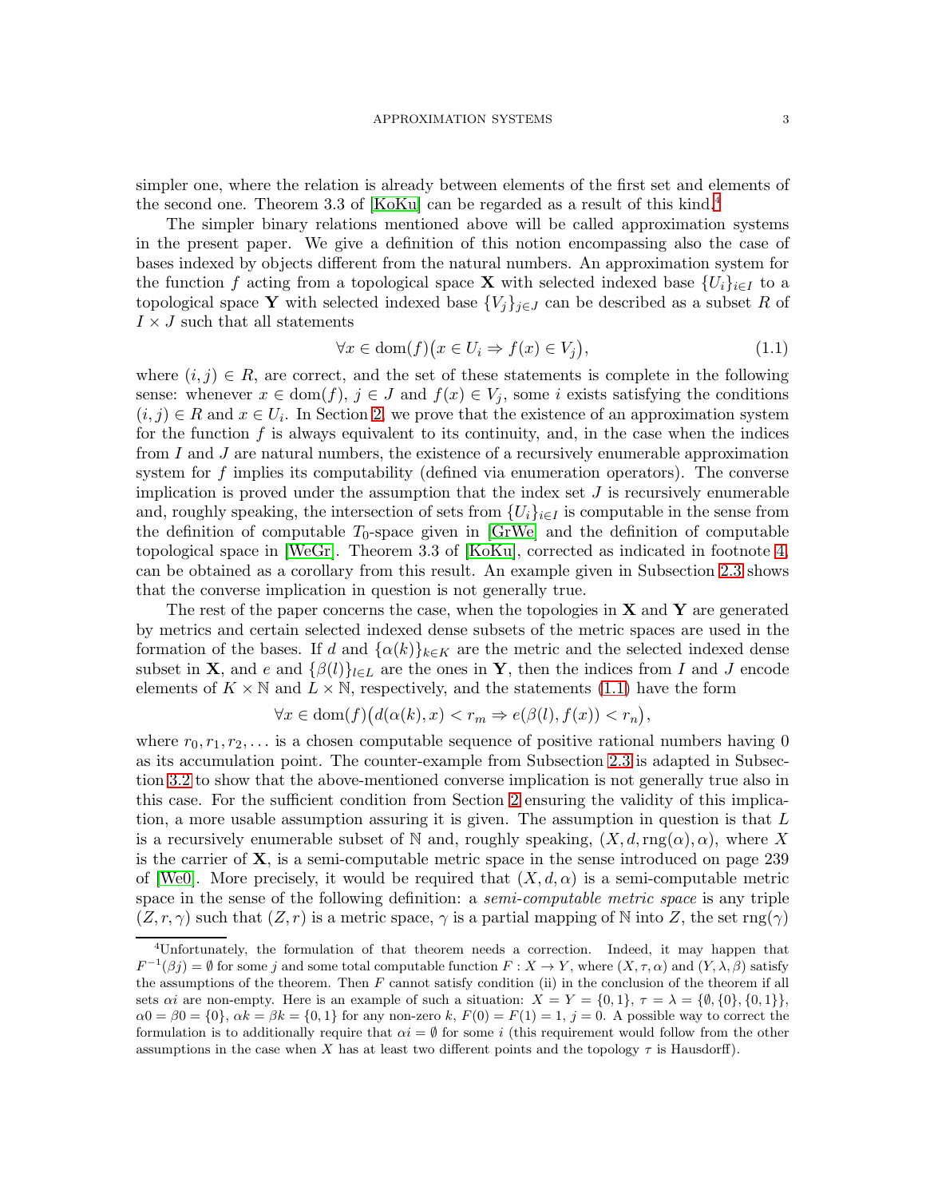simpler one, where the relation is already between elements of the first set and elements of the second one. Theorem 3.3 of [\[KoKu\]](#page-20-5) can be regarded as a result of this kind.<sup>[4](#page-2-0)</sup>

The simpler binary relations mentioned above will be called approximation systems in the present paper. We give a definition of this notion encompassing also the case of bases indexed by objects different from the natural numbers. An approximation system for the function f acting from a topological space **X** with selected indexed base  $\{U_i\}_{i\in I}$  to a topological space Y with selected indexed base  ${V_i}_{i\in J}$  can be described as a subset R of  $I \times J$  such that all statements

<span id="page-2-1"></span>
$$
\forall x \in \text{dom}(f) \big( x \in U_i \Rightarrow f(x) \in V_j \big),\tag{1.1}
$$

where  $(i, j) \in R$ , are correct, and the set of these statements is complete in the following sense: whenever  $x \in \text{dom}(f)$ ,  $j \in J$  and  $f(x) \in V_j$ , some i exists satisfying the conditions  $(i, j) \in R$  and  $x \in U_i$ . In Section [2,](#page-3-0) we prove that the existence of an approximation system for the function  $f$  is always equivalent to its continuity, and, in the case when the indices from I and J are natural numbers, the existence of a recursively enumerable approximation system for f implies its computability (defined via enumeration operators). The converse implication is proved under the assumption that the index set  $J$  is recursively enumerable and, roughly speaking, the intersection of sets from  $\{U_i\}_{i\in I}$  is computable in the sense from the definition of computable  $T_0$ -space given in [\[GrWe\]](#page-20-6) and the definition of computable topological space in [\[WeGr\]](#page-20-7). Theorem 3.3 of [\[KoKu\]](#page-20-5), corrected as indicated in footnote [4,](#page-2-0) can be obtained as a corollary from this result. An example given in Subsection [2.3](#page-7-0) shows that the converse implication in question is not generally true.

The rest of the paper concerns the case, when the topologies in  $X$  and  $Y$  are generated by metrics and certain selected indexed dense subsets of the metric spaces are used in the formation of the bases. If d and  $\{\alpha(k)\}_{k\in K}$  are the metric and the selected indexed dense subset in **X**, and e and  $\{\beta(l)\}_{l\in\mathbb{L}}$  are the ones in **Y**, then the indices from I and J encode elements of  $K \times \mathbb{N}$  and  $L \times \mathbb{N}$ , respectively, and the statements [\(1.1\)](#page-2-1) have the form

$$
\forall x \in \text{dom}(f) \big( d(\alpha(k), x) < r_m \Rightarrow e(\beta(l), f(x)) < r_n \big),
$$

where  $r_0, r_1, r_2, \ldots$  is a chosen computable sequence of positive rational numbers having 0 as its accumulation point. The counter-example from Subsection [2.3](#page-7-0) is adapted in Subsection [3.2](#page-9-0) to show that the above-mentioned converse implication is not generally true also in this case. For the sufficient condition from Section [2](#page-3-0) ensuring the validity of this implication, a more usable assumption assuring it is given. The assumption in question is that  $L$ is a recursively enumerable subset of N and, roughly speaking,  $(X, d, rng(\alpha), \alpha)$ , where X is the carrier of  $\bf{X}$ , is a semi-computable metric space in the sense introduced on page 239 of [\[We0\]](#page-20-1). More precisely, it would be required that  $(X, d, \alpha)$  is a semi-computable metric space in the sense of the following definition: a *semi-computable metric space* is any triple  $(Z, r, \gamma)$  such that  $(Z, r)$  is a metric space,  $\gamma$  is a partial mapping of N into Z, the set rng( $\gamma$ )

<span id="page-2-0"></span><sup>4</sup>Unfortunately, the formulation of that theorem needs a correction. Indeed, it may happen that  $F^{-1}(\beta j) = \emptyset$  for some j and some total computable function  $F: X \to Y$ , where  $(X, \tau, \alpha)$  and  $(Y, \lambda, \beta)$  satisfy the assumptions of the theorem. Then  $F$  cannot satisfy condition (ii) in the conclusion of the theorem if all sets  $\alpha i$  are non-empty. Here is an example of such a situation:  $X = Y = \{0, 1\}$ ,  $\tau = \lambda = \{\emptyset, \{0\}, \{0, 1\}\},\$  $\alpha0 = \beta 0 = \{0\}, \alpha k = \beta k = \{0, 1\}$  for any non-zero k,  $F(0) = F(1) = 1$ ,  $j = 0$ . A possible way to correct the formulation is to additionally require that  $\alpha i = \emptyset$  for some i (this requirement would follow from the other assumptions in the case when X has at least two different points and the topology  $\tau$  is Hausdorff).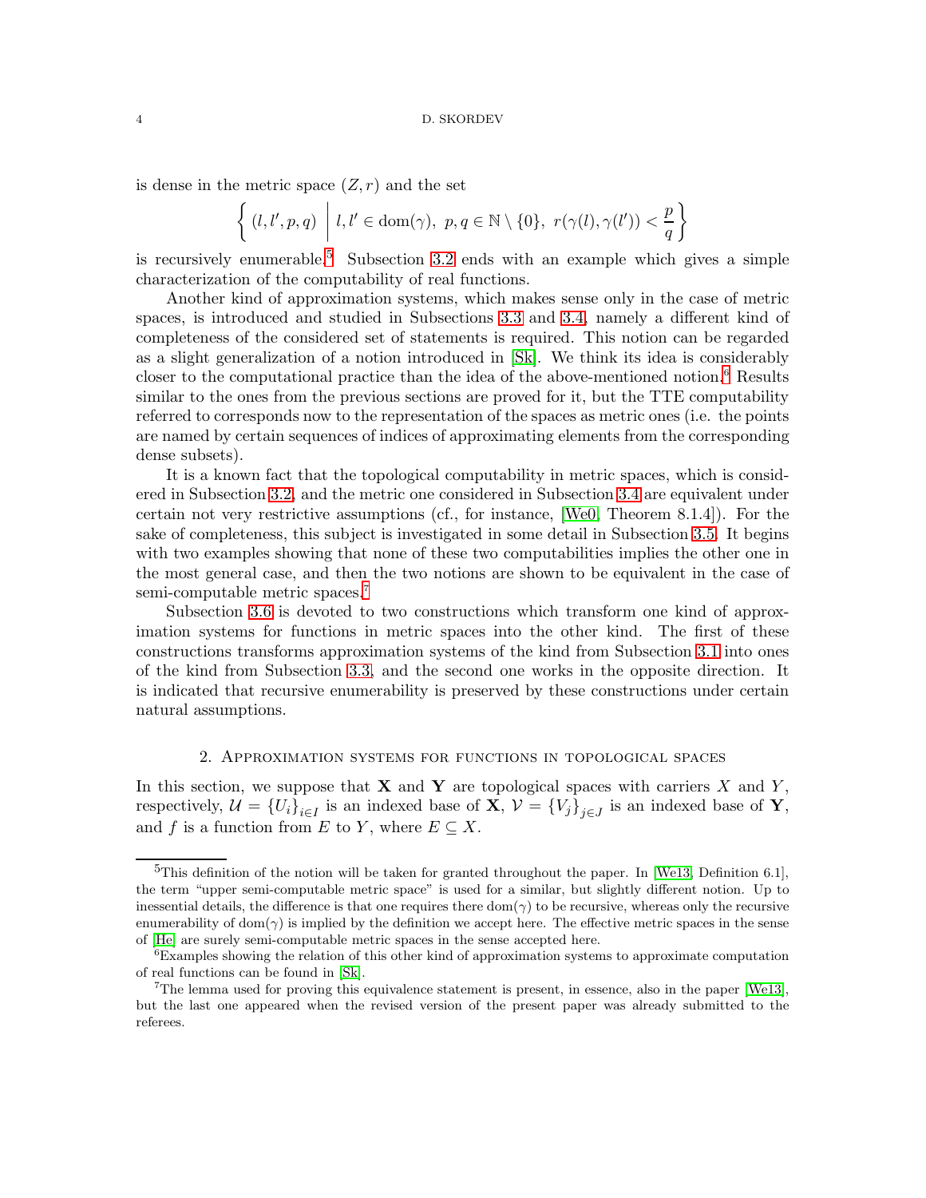is dense in the metric space  $(Z, r)$  and the set

$$
\left\{ (l, l', p, q) \mid l, l' \in \text{dom}(\gamma), \ p, q \in \mathbb{N} \setminus \{0\}, \ r(\gamma(l), \gamma(l')) < \frac{p}{q} \right\}
$$

is recursively enumerable.<sup>[5](#page-3-1)</sup> Subsection [3.2](#page-9-0) ends with an example which gives a simple characterization of the computability of real functions.

Another kind of approximation systems, which makes sense only in the case of metric spaces, is introduced and studied in Subsections [3.3](#page-11-0) and [3.4,](#page-13-0) namely a different kind of completeness of the considered set of statements is required. This notion can be regarded as a slight generalization of a notion introduced in [\[Sk\]](#page-20-0). We think its idea is considerably closer to the computational practice than the idea of the above-mentioned notion.<sup>[6](#page-3-2)</sup> Results similar to the ones from the previous sections are proved for it, but the TTE computability referred to corresponds now to the representation of the spaces as metric ones (i.e. the points are named by certain sequences of indices of approximating elements from the corresponding dense subsets).

It is a known fact that the topological computability in metric spaces, which is considered in Subsection [3.2,](#page-9-0) and the metric one considered in Subsection [3.4](#page-13-0) are equivalent under certain not very restrictive assumptions (cf., for instance, [\[We0,](#page-20-1) Theorem 8.1.4]). For the sake of completeness, this subject is investigated in some detail in Subsection [3.5.](#page-16-0) It begins with two examples showing that none of these two computabilities implies the other one in the most general case, and then the two notions are shown to be equivalent in the case of semi-computable metric spaces.<sup>[7](#page-3-3)</sup>

Subsection [3.6](#page-18-0) is devoted to two constructions which transform one kind of approximation systems for functions in metric spaces into the other kind. The first of these constructions transforms approximation systems of the kind from Subsection [3.1](#page-8-0) into ones of the kind from Subsection [3.3,](#page-11-0) and the second one works in the opposite direction. It is indicated that recursive enumerability is preserved by these constructions under certain natural assumptions.

# 2. Approximation systems for functions in topological spaces

<span id="page-3-0"></span>In this section, we suppose that **X** and **Y** are topological spaces with carriers X and Y, respectively,  $\mathcal{U} = \{U_i\}_{i \in I}$  is an indexed base of  $\mathbf{X}, \mathcal{V} = \{V_j\}_{j \in J}$  is an indexed base of  $\mathbf{Y},$ and f is a function from E to Y, where  $E \subseteq X$ .

<span id="page-3-1"></span> $5$ This definition of the notion will be taken for granted throughout the paper. In [\[We13,](#page-20-8) Definition 6.1], the term "upper semi-computable metric space" is used for a similar, but slightly different notion. Up to inessential details, the difference is that one requires there dom( $\gamma$ ) to be recursive, whereas only the recursive enumerability of dom( $\gamma$ ) is implied by the definition we accept here. The effective metric spaces in the sense of [\[He\]](#page-20-9) are surely semi-computable metric spaces in the sense accepted here.

<span id="page-3-2"></span><sup>6</sup>Examples showing the relation of this other kind of approximation systems to approximate computation of real functions can be found in [\[Sk\]](#page-20-0).

<span id="page-3-3"></span><sup>7</sup>The lemma used for proving this equivalence statement is present, in essence, also in the paper [\[We13\]](#page-20-8), but the last one appeared when the revised version of the present paper was already submitted to the referees.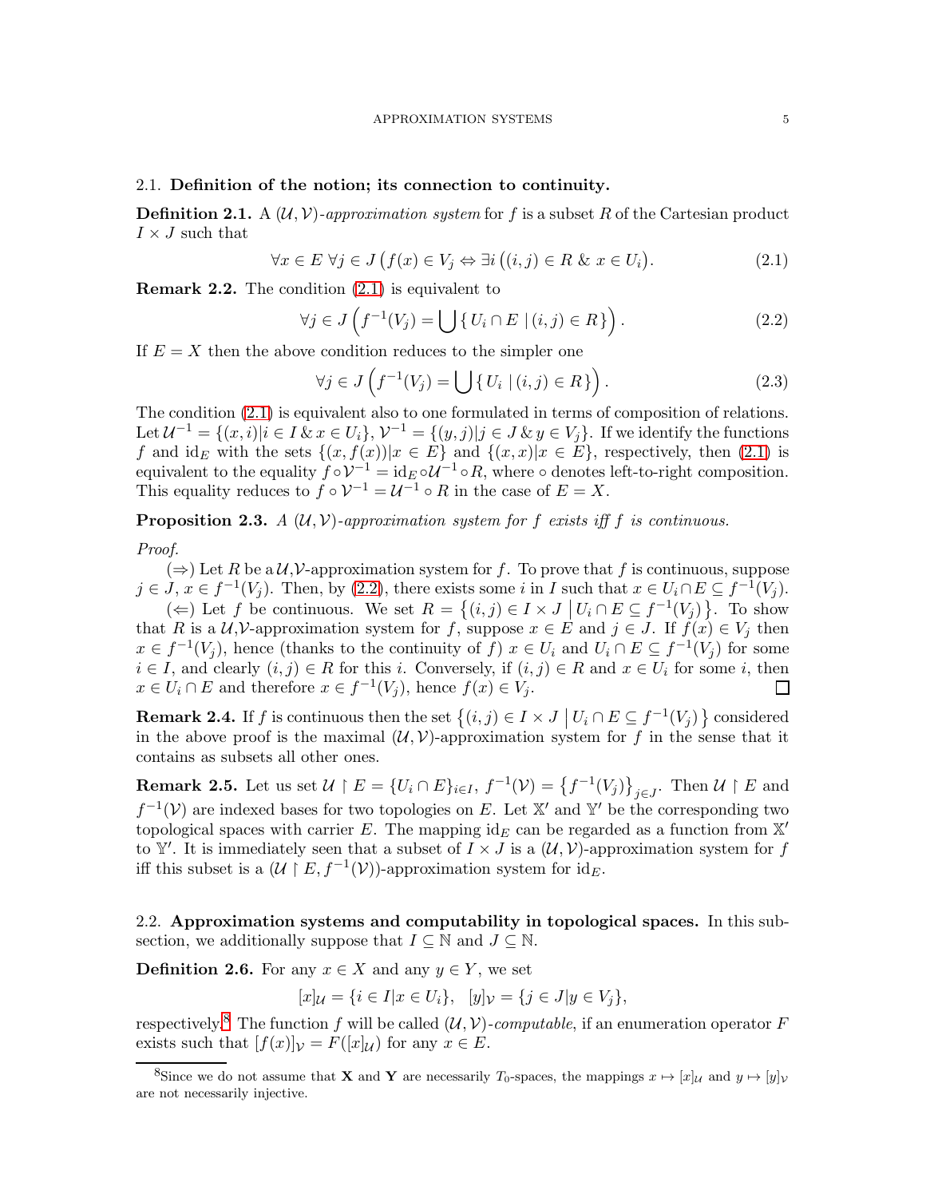# 2.1. Definition of the notion; its connection to continuity.

<span id="page-4-6"></span>**Definition 2.1.** A  $(U, V)$ -approximation system for f is a subset R of the Cartesian product  $I\times J$  such that

<span id="page-4-1"></span>
$$
\forall x \in E \,\,\forall j \in J \,(f(x) \in V_j \Leftrightarrow \exists i \, \big( (i, j) \in R \,\,\& x \in U_i \big). \tag{2.1}
$$

Remark 2.2. The condition [\(2.1\)](#page-4-1) is equivalent to

<span id="page-4-2"></span>
$$
\forall j \in J \left( f^{-1}(V_j) = \bigcup \{ U_i \cap E \mid (i,j) \in R \} \right). \tag{2.2}
$$

If  $E = X$  then the above condition reduces to the simpler one

<span id="page-4-5"></span>
$$
\forall j \in J \left( f^{-1}(V_j) = \bigcup \{ U_i \mid (i,j) \in R \} \right). \tag{2.3}
$$

The condition [\(2.1\)](#page-4-1) is equivalent also to one formulated in terms of composition of relations. Let  $\mathcal{U}^{-1} = \{(x,i)|i \in I \& x \in U_i\}, \mathcal{V}^{-1} = \{(y,j)|j \in J \& y \in V_j\}.$  If we identify the functions f and  $id_E$  with the sets  $\{(x, f(x)) | x \in E\}$  and  $\{(x, x) | x \in E\}$ , respectively, then [\(2.1\)](#page-4-1) is equivalent to the equality  $f \circ \mathcal{V}^{-1} = id_E \circ \mathcal{U}^{-1} \circ R$ , where  $\circ$  denotes left-to-right composition. This equality reduces to  $f \circ \mathcal{V}^{-1} = \mathcal{U}^{-1} \circ R$  in the case of  $E = X$ .

<span id="page-4-7"></span>**Proposition 2.3.** A  $(U, V)$ -approximation system for f exists iff f is continuous.

# Proof.

 $(\Rightarrow)$  Let R be a U, V-approximation system for f. To prove that f is continuous, suppose  $j \in J$ ,  $x \in f^{-1}(V_j)$ . Then, by [\(2.2\)](#page-4-2), there exists some i in I such that  $x \in U_i \cap E \subseteq f^{-1}(V_j)$ .

(←) Let f be continuous. We set  $R = \{(i, j) \in I \times J \mid U_i \cap E \subseteq f^{-1}(V_j)\}$ . To show that R is a  $\mathcal{U}, \mathcal{V}$ -approximation system for f, suppose  $x \in E$  and  $j \in J$ . If  $f(x) \in V_j$  then  $x \in f^{-1}(V_j)$ , hence (thanks to the continuity of f)  $x \in U_i$  and  $U_i \cap E \subseteq f^{-1}(V_j)$  for some  $i \in I$ , and clearly  $(i, j) \in R$  for this i. Conversely, if  $(i, j) \in R$  and  $x \in U_i$  for some i, then  $x \in U_i \cap E$  and therefore  $x \in f^{-1}(V_j)$ , hence  $f(x) \in V_j$ . П

<span id="page-4-8"></span>**Remark 2.4.** If f is continuous then the set  $\{(i,j) \in I \times J \mid U_i \cap E \subseteq f^{-1}(V_j)\}$  considered in the above proof is the maximal  $(\mathcal{U}, \mathcal{V})$ -approximation system for f in the sense that it contains as subsets all other ones.

<span id="page-4-0"></span>**Remark 2.5.** Let us set  $\mathcal{U} \restriction E = \{U_i \cap E\}_{i \in I}, f^{-1}(\mathcal{V}) = \{f^{-1}(V_j)\}_{j \in J}$ . Then  $\mathcal{U} \restriction E$  and  $f^{-1}(\mathcal{V})$  are indexed bases for two topologies on E. Let X' and Y' be the corresponding two topological spaces with carrier E. The mapping  $id_E$  can be regarded as a function from X' to Y'. It is immediately seen that a subset of  $I \times J$  is a  $(\mathcal{U}, \mathcal{V})$ -approximation system for f iff this subset is a  $(\mathcal{U} \restriction E, f^{-1}(\mathcal{V}))$ -approximation system for  $id_E$ .

2.2. Approximation systems and computability in topological spaces. In this subsection, we additionally suppose that  $I \subseteq \mathbb{N}$  and  $J \subseteq \mathbb{N}$ .

<span id="page-4-4"></span>**Definition 2.6.** For any  $x \in X$  and any  $y \in Y$ , we set

$$
[x]_{\mathcal{U}} = \{ i \in I | x \in U_i \}, \quad [y]_{\mathcal{V}} = \{ j \in J | y \in V_j \},
$$

respectively.<sup>[8](#page-4-3)</sup> The function f will be called  $(\mathcal{U}, \mathcal{V})$ -computable, if an enumeration operator F exists such that  $[f(x)]_V = F([x]_U)$  for any  $x \in E$ .

<span id="page-4-3"></span><sup>&</sup>lt;sup>8</sup>Since we do not assume that **X** and **Y** are necessarily  $T_0$ -spaces, the mappings  $x \mapsto [x]_{\mathcal{U}}$  and  $y \mapsto [y]_{\mathcal{V}}$ are not necessarily injective.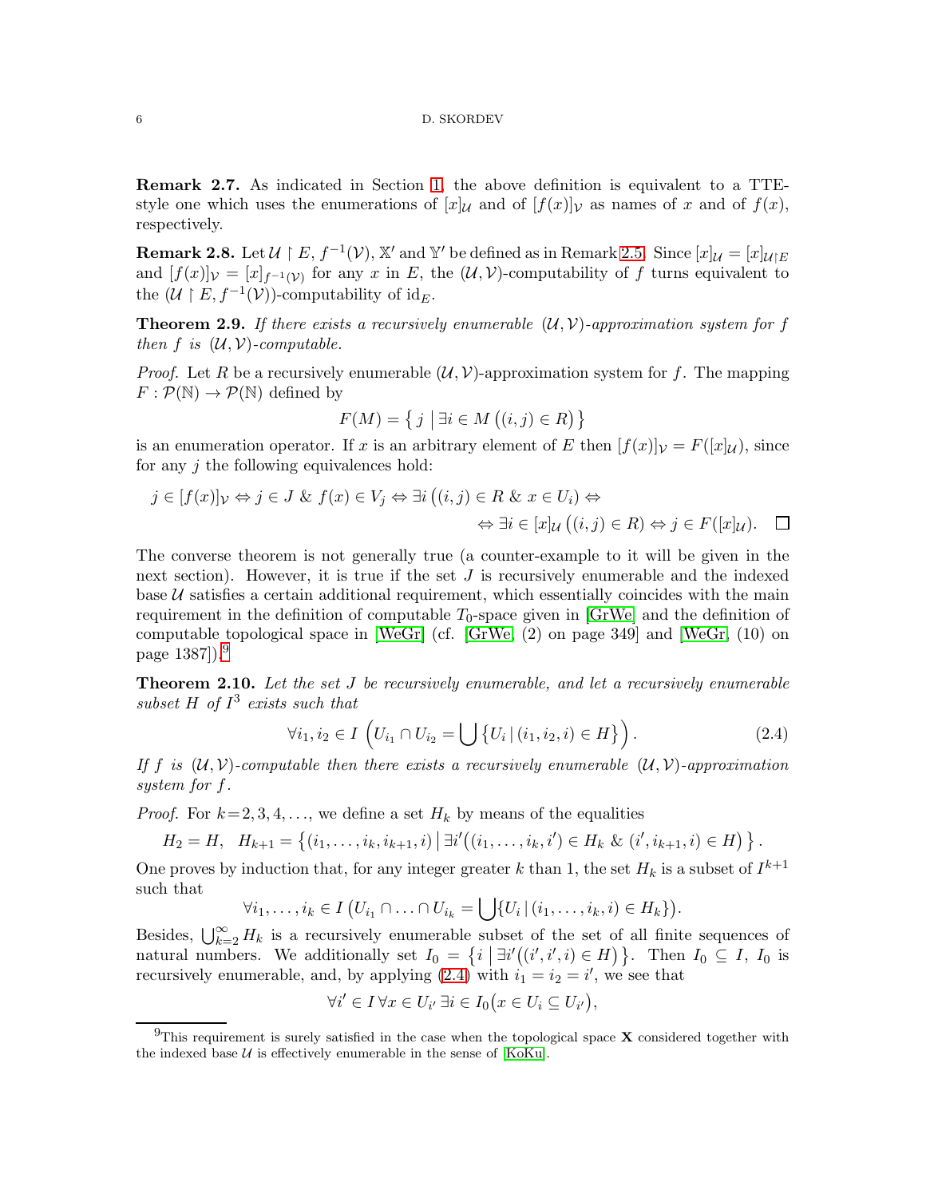Remark 2.7. As indicated in Section [1,](#page-1-3) the above definition is equivalent to a TTEstyle one which uses the enumerations of  $[x]_{\mathcal{U}}$  and of  $[f(x)]_{\mathcal{V}}$  as names of x and of  $f(x)$ , respectively.

<span id="page-5-0"></span>**Remark 2.8.** Let  $\mathcal{U} \restriction E$ ,  $f^{-1}(\mathcal{V})$ ,  $\mathbb{X}'$  and  $\mathbb{Y}'$  be defined as in Remark [2.5.](#page-4-0) Since  $[x]_{\mathcal{U}} = [x]_{\mathcal{U} \restriction E}$ and  $[f(x)]_{\mathcal{V}} = [x]_{f^{-1}(\mathcal{V})}$  for any x in E, the  $(\mathcal{U}, \mathcal{V})$ -computability of f turns equivalent to the  $(\mathcal{U} \restriction E, f^{-1}(\mathcal{V}))$ -computability of id<sub>E</sub>.

<span id="page-5-4"></span>**Theorem 2.9.** If there exists a recursively enumerable  $(\mathcal{U}, \mathcal{V})$ -approximation system for f then f is  $(\mathcal{U}, \mathcal{V})$ -computable.

*Proof.* Let R be a recursively enumerable  $(\mathcal{U}, \mathcal{V})$ -approximation system for f. The mapping  $F: \mathcal{P}(\mathbb{N}) \to \mathcal{P}(\mathbb{N})$  defined by

$$
F(M) = \{ j \mid \exists i \in M \ ((i, j) \in R) \}
$$

is an enumeration operator. If x is an arbitrary element of E then  $|f(x)|_V = F(|x|_{\mathcal{U}})$ , since for any  $j$  the following equivalences hold:

$$
j \in [f(x)]_{\mathcal{V}} \Leftrightarrow j \in J \& f(x) \in V_j \Leftrightarrow \exists i ((i, j) \in R \& x \in U_i) \Leftrightarrow
$$

$$
\Leftrightarrow \exists i \in [x]_{\mathcal{U}} ((i, j) \in R) \Leftrightarrow j \in F([x]_{\mathcal{U}}). \quad \Box
$$

The converse theorem is not generally true (a counter-example to it will be given in the next section). However, it is true if the set  $J$  is recursively enumerable and the indexed base  $U$  satisfies a certain additional requirement, which essentially coincides with the main requirement in the definition of computable  $T_0$ -space given in  $\text{[GrWe]}$  and the definition of computable topological space in  $[WeGr]$  (cf.  $[GrWe, (2)$  on page 349] and  $[WeGr, (10)$  on page  $1387$ ).<sup>[9](#page-5-1)</sup>

<span id="page-5-3"></span>**Theorem 2.10.** Let the set J be recursively enumerable, and let a recursively enumerable subset  $H$  of  $I^3$  exists such that

<span id="page-5-2"></span>
$$
\forall i_1, i_2 \in I \left( U_{i_1} \cap U_{i_2} = \bigcup \{ U_i \, | \, (i_1, i_2, i) \in H \} \right). \tag{2.4}
$$

If f is  $(\mathcal{U}, \mathcal{V})$ -computable then there exists a recursively enumerable  $(\mathcal{U}, \mathcal{V})$ -approximation system for f.

*Proof.* For  $k = 2, 3, 4, \ldots$ , we define a set  $H_k$  by means of the equalities

$$
H_2 = H, \quad H_{k+1} = \left\{ (i_1, \ldots, i_k, i_{k+1}, i) \mid \exists i' \big( (i_1, \ldots, i_k, i') \in H_k \& (i', i_{k+1}, i) \in H \big) \right\}.
$$

One proves by induction that, for any integer greater k than 1, the set  $H_k$  is a subset of  $I^{k+1}$ such that

$$
\forall i_1,\ldots,i_k\in I \left(U_{i_1}\cap\ldots\cap U_{i_k}=\bigcup\{U_i\,|\,(i_1,\ldots,i_k,i)\in H_k\}\right).
$$

Besides,  $\bigcup_{k=2}^{\infty} H_k$  is a recursively enumerable subset of the set of all finite sequences of natural numbers. We additionally set  $I_0 = \{i \mid \exists i'((i', i', i) \in H)\}\.$  Then  $I_0 \subseteq I$ ,  $I_0$  is recursively enumerable, and, by applying  $(2.4)$  with  $i_1 = i_2 = i'$ , we see that

$$
\forall i' \in I \,\forall x \in U_{i'} \,\exists i \in I_0 \big(x \in U_i \subseteq U_{i'}\big),
$$

<span id="page-5-1"></span><sup>&</sup>lt;sup>9</sup>This requirement is surely satisfied in the case when the topological space  $X$  considered together with the indexed base  $U$  is effectively enumerable in the sense of [\[KoKu\]](#page-20-5).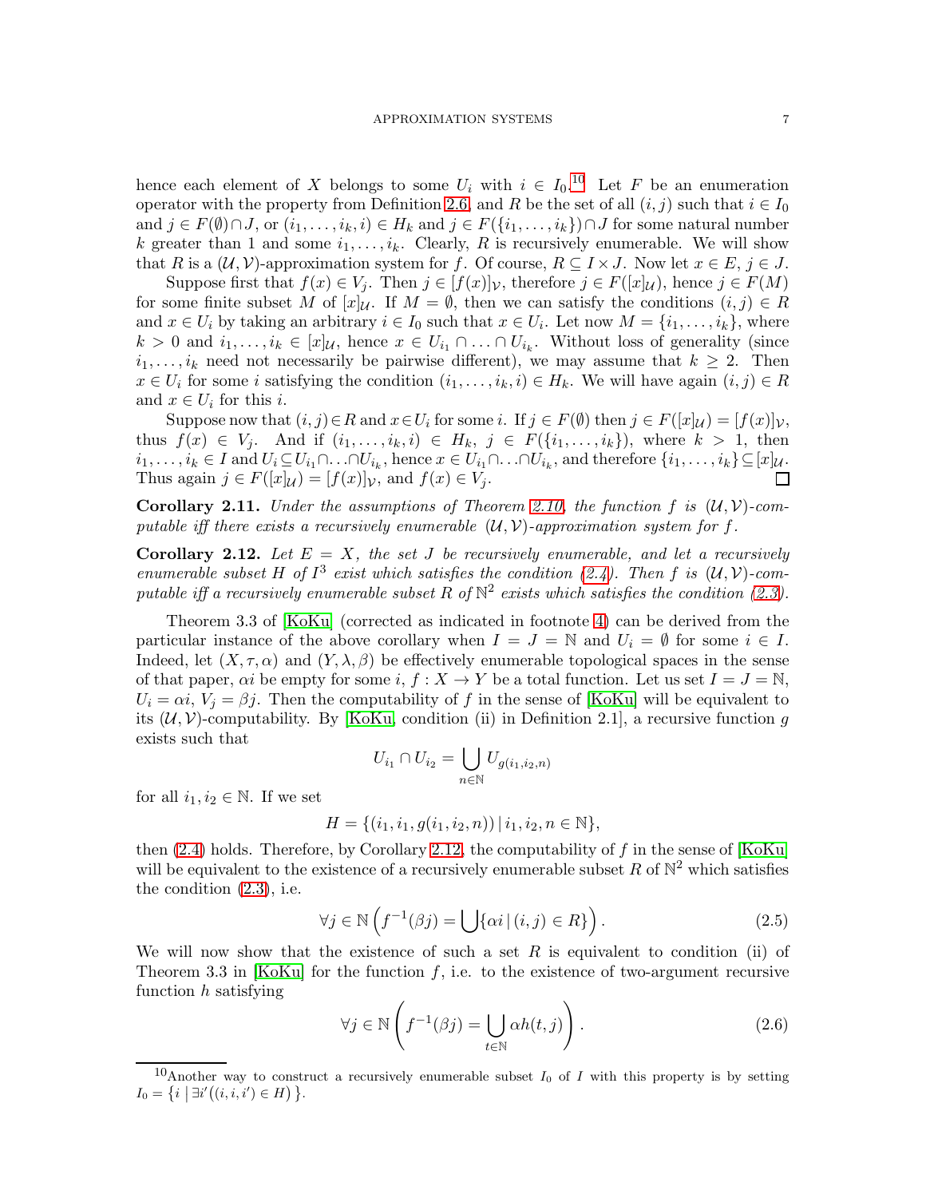hence each element of X belongs to some  $U_i$  with  $i \in I_0$ .<sup>[10](#page-6-0)</sup> Let F be an enumeration operator with the property from Definition [2.6,](#page-4-4) and R be the set of all  $(i, j)$  such that  $i \in I_0$ and  $j \in F(\emptyset) \cap J$ , or  $(i_1, \ldots, i_k, i) \in H_k$  and  $j \in F(\{i_1, \ldots, i_k\}) \cap J$  for some natural number k greater than 1 and some  $i_1, \ldots, i_k$ . Clearly, R is recursively enumerable. We will show that R is a  $(U, V)$ -approximation system for f. Of course,  $R \subseteq I \times J$ . Now let  $x \in E$ ,  $j \in J$ .

Suppose first that  $f(x) \in V_j$ . Then  $j \in [f(x)]_V$ , therefore  $j \in F([x]_U)$ , hence  $j \in F(M)$ for some finite subset M of  $[x]_{\mathcal{U}}$ . If  $M = \emptyset$ , then we can satisfy the conditions  $(i, j) \in R$ and  $x \in U_i$  by taking an arbitrary  $i \in I_0$  such that  $x \in U_i$ . Let now  $M = \{i_1, \ldots, i_k\}$ , where  $k > 0$  and  $i_1, \ldots, i_k \in [x]_{\mathcal{U}}$ , hence  $x \in U_{i_1} \cap \ldots \cap U_{i_k}$ . Without loss of generality (since  $i_1, \ldots, i_k$  need not necessarily be pairwise different), we may assume that  $k \geq 2$ . Then  $x \in U_i$  for some i satisfying the condition  $(i_1, \ldots, i_k, i) \in H_k$ . We will have again  $(i, j) \in R$ and  $x \in U_i$  for this *i*.

Suppose now that  $(i, j) \in R$  and  $x \in U_i$  for some i. If  $j \in F(\emptyset)$  then  $j \in F([x]_{\mathcal{U}}) = [f(x)]_{\mathcal{V}},$ thus  $f(x) \in V_j$ . And if  $(i_1, \ldots, i_k, i) \in H_k$ ,  $j \in F(\{i_1, \ldots, i_k\})$ , where  $k > 1$ , then  $i_1,\ldots,i_k\in I$  and  $U_i\subseteq U_{i_1}\cap\ldots\cap U_{i_k}$ , hence  $x\in U_{i_1}\cap\ldots\cap U_{i_k}$ , and therefore  $\{i_1,\ldots,i_k\}\subseteq [x]_{\mathcal{U}}$ . Thus again  $j \in F([x]_{\mathcal{U}}) = [f(x)]_{\mathcal{V}}$ , and  $f(x) \in V_j$ .  $\Box$ 

**Corollary 2.11.** Under the assumptions of Theorem [2.10,](#page-5-3) the function f is  $(\mathcal{U}, \mathcal{V})$ -computable iff there exists a recursively enumerable  $(U, V)$ -approximation system for f.

<span id="page-6-1"></span>**Corollary 2.12.** Let  $E = X$ , the set J be recursively enumerable, and let a recursively enumerable subset H of  $I^3$  exist which satisfies the condition [\(2.4\)](#page-5-2). Then f is  $(\mathcal{U}, \mathcal{V})$ -computable iff a recursively enumerable subset R of  $N^2$  exists which satisfies the condition [\(2.3\)](#page-4-5).

Theorem 3.3 of [\[KoKu\]](#page-20-5) (corrected as indicated in footnote [4\)](#page-2-0) can be derived from the particular instance of the above corollary when  $I = J = \mathbb{N}$  and  $U_i = \emptyset$  for some  $i \in I$ . Indeed, let  $(X, \tau, \alpha)$  and  $(Y, \lambda, \beta)$  be effectively enumerable topological spaces in the sense of that paper,  $\alpha i$  be empty for some i,  $f : X \to Y$  be a total function. Let us set  $I = J = \mathbb{N}$ ,  $U_i = \alpha i$ ,  $V_j = \beta j$ . Then the computability of f in the sense of [\[KoKu\]](#page-20-5) will be equivalent to its  $(\mathcal{U}, \mathcal{V})$ -computability. By [\[KoKu,](#page-20-5) condition (ii) in Definition 2.1], a recursive function q exists such that

$$
U_{i_1} \cap U_{i_2} = \bigcup_{n \in \mathbb{N}} U_{g(i_1, i_2, n)}
$$

for all  $i_1, i_2 \in \mathbb{N}$ . If we set

$$
H = \{ (i_1, i_1, g(i_1, i_2, n)) \, | \, i_1, i_2, n \in \mathbb{N} \},
$$

then  $(2.4)$  holds. Therefore, by Corollary [2.12,](#page-6-1) the computability of f in the sense of [\[KoKu\]](#page-20-5) will be equivalent to the existence of a recursively enumerable subset R of  $\mathbb{N}^2$  which satisfies the condition [\(2.3\)](#page-4-5), i.e.

<span id="page-6-2"></span>
$$
\forall j \in \mathbb{N} \left( f^{-1}(\beta j) = \bigcup \{ \alpha i \, | \, (i, j) \in R \} \right). \tag{2.5}
$$

We will now show that the existence of such a set R is equivalent to condition (ii) of Theorem 3.3 in [\[KoKu\]](#page-20-5) for the function f, i.e. to the existence of two-argument recursive function  $h$  satisfying

<span id="page-6-3"></span>
$$
\forall j \in \mathbb{N} \left( f^{-1}(\beta j) = \bigcup_{t \in \mathbb{N}} \alpha h(t, j) \right). \tag{2.6}
$$

<span id="page-6-0"></span><sup>&</sup>lt;sup>10</sup>Another way to construct a recursively enumerable subset  $I_0$  of I with this property is by setting  $I_0 = \{i \mid \exists i'((i, i, i') \in H)\}\.$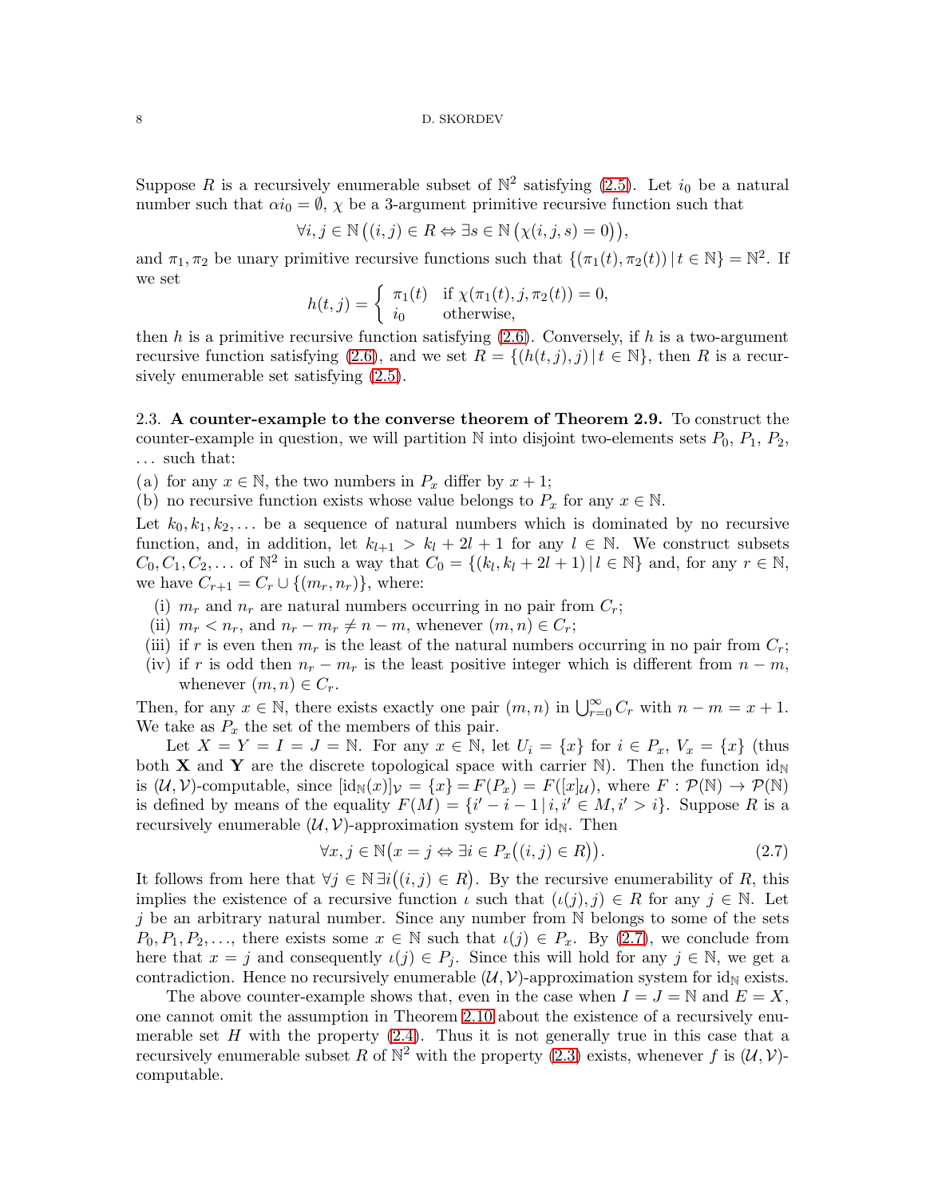Suppose R is a recursively enumerable subset of  $\mathbb{N}^2$  satisfying  $(2.5)$ . Let  $i_0$  be a natural number such that  $\alpha i_0 = \emptyset$ ,  $\chi$  be a 3-argument primitive recursive function such that

$$
\forall i, j \in \mathbb{N} \left( (i, j) \in R \Leftrightarrow \exists s \in \mathbb{N} \left( \chi(i, j, s) = 0 \right) \right),
$$

and  $\pi_1, \pi_2$  be unary primitive recursive functions such that  $\{(\pi_1(t), \pi_2(t)) | t \in \mathbb{N}\} = \mathbb{N}^2$ . If we set

$$
h(t,j) = \begin{cases} \pi_1(t) & \text{if } \chi(\pi_1(t), j, \pi_2(t)) = 0, \\ i_0 & \text{otherwise,} \end{cases}
$$

then h is a primitive recursive function satisfying  $(2.6)$ . Conversely, if h is a two-argument recursive function satisfying [\(2.6\)](#page-6-3), and we set  $R = \{(h(t, j), j) | t \in \mathbb{N}\}\)$ , then R is a recursively enumerable set satisfying [\(2.5\)](#page-6-2).

<span id="page-7-0"></span>2.3. A counter-example to the converse theorem of Theorem 2.9. To construct the counter-example in question, we will partition  $\mathbb N$  into disjoint two-elements sets  $P_0$ ,  $P_1$ ,  $P_2$ , . . . such that:

(a) for any  $x \in \mathbb{N}$ , the two numbers in  $P_x$  differ by  $x + 1$ ;

(b) no recursive function exists whose value belongs to  $P_x$  for any  $x \in \mathbb{N}$ .

Let  $k_0, k_1, k_2, \ldots$  be a sequence of natural numbers which is dominated by no recursive function, and, in addition, let  $k_{l+1} > k_l + 2l + 1$  for any  $l \in \mathbb{N}$ . We construct subsets  $C_0, C_1, C_2, ...$  of  $\mathbb{N}^2$  in such a way that  $C_0 = \{(k_l, k_l + 2l + 1) | l \in \mathbb{N}\}\$ and, for any  $r \in \mathbb{N}$ , we have  $C_{r+1} = C_r \cup \{(m_r, n_r)\}\,$ , where:

- (i)  $m_r$  and  $n_r$  are natural numbers occurring in no pair from  $C_r$ ;
- (ii)  $m_r < n_r$ , and  $n_r m_r \neq n m$ , whenever  $(m, n) \in C_r$ ;
- (iii) if r is even then  $m_r$  is the least of the natural numbers occurring in no pair from  $C_r$ ;
- (iv) if r is odd then  $n_r m_r$  is the least positive integer which is different from  $n m$ , whenever  $(m, n) \in C_r$ .

Then, for any  $x \in \mathbb{N}$ , there exists exactly one pair  $(m, n)$  in  $\bigcup_{r=0}^{\infty} C_r$  with  $n - m = x + 1$ . We take as  $P_x$  the set of the members of this pair.

Let  $X = Y = I = J = \mathbb{N}$ . For any  $x \in \mathbb{N}$ , let  $U_i = \{x\}$  for  $i \in P_x$ ,  $V_x = \{x\}$  (thus both **X** and **Y** are the discrete topological space with carrier N). Then the function  $id_N$ is  $(U, V)$ -computable, since  $[\text{id}_{\mathbb{N}}(x)]_V = \{x\} = F(P_x) = F([x]_U)$ , where  $F : \mathcal{P}(\mathbb{N}) \to \mathcal{P}(\mathbb{N})$ is defined by means of the equality  $F(M) = \{i' - i - 1 | i, i' \in M, i' > i\}$ . Suppose R is a recursively enumerable  $(\mathcal{U}, \mathcal{V})$ -approximation system for id<sub>N</sub>. Then

<span id="page-7-1"></span>
$$
\forall x, j \in \mathbb{N} \big( x = j \Leftrightarrow \exists i \in P_x \big( (i, j) \in R \big) \big). \tag{2.7}
$$

It follows from here that  $\forall j \in \mathbb{N} \exists i ((i, j) \in R)$ . By the recursive enumerability of R, this implies the existence of a recursive function  $\iota$  such that  $(\iota(j), j) \in R$  for any  $j \in \mathbb{N}$ . Let j be an arbitrary natural number. Since any number from  $\mathbb N$  belongs to some of the sets  $P_0, P_1, P_2, \ldots$ , there exists some  $x \in \mathbb{N}$  such that  $\iota(j) \in P_x$ . By  $(2.7)$ , we conclude from here that  $x = j$  and consequently  $\iota(j) \in P_j$ . Since this will hold for any  $j \in \mathbb{N}$ , we get a contradiction. Hence no recursively enumerable  $(U, V)$ -approximation system for id<sub>N</sub> exists.

The above counter-example shows that, even in the case when  $I = J = N$  and  $E = X$ , one cannot omit the assumption in Theorem [2.10](#page-5-3) about the existence of a recursively enumerable set  $H$  with the property  $(2.4)$ . Thus it is not generally true in this case that a recursively enumerable subset R of  $\mathbb{N}^2$  with the property  $(2.3)$  exists, whenever f is  $(\mathcal{U}, \mathcal{V})$ computable.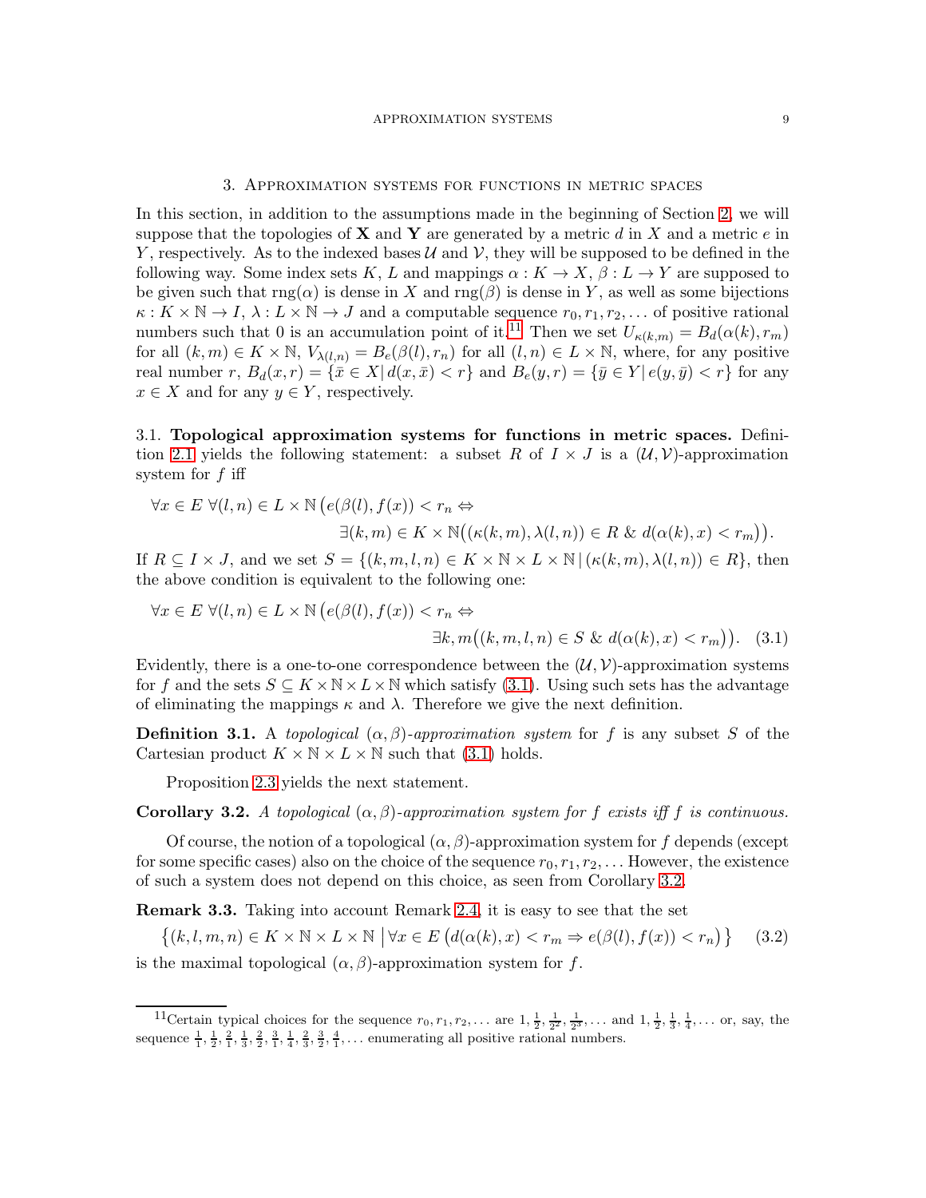### 3. Approximation systems for functions in metric spaces

In this section, in addition to the assumptions made in the beginning of Section [2,](#page-3-0) we will suppose that the topologies of **X** and **Y** are generated by a metric d in X and a metric e in Y, respectively. As to the indexed bases  $\mathcal U$  and  $\mathcal V$ , they will be supposed to be defined in the following way. Some index sets K, L and mappings  $\alpha : K \to X$ ,  $\beta : L \to Y$  are supposed to be given such that  $\text{rng}(\alpha)$  is dense in X and  $\text{rng}(\beta)$  is dense in Y, as well as some bijections  $\kappa: K \times \mathbb{N} \to I$ ,  $\lambda: L \times \mathbb{N} \to J$  and a computable sequence  $r_0, r_1, r_2, \dots$  of positive rational numbers such that 0 is an accumulation point of it.<sup>[11](#page-8-1)</sup> Then we set  $U_{\kappa(k,m)} = B_d(\alpha(k), r_m)$ for all  $(k, m) \in K \times \mathbb{N}$ ,  $V_{\lambda(l,n)} = B_e(\beta(l), r_n)$  for all  $(l,n) \in L \times \mathbb{N}$ , where, for any positive real number r,  $B_d(x,r) = {\overline{x} \in X | d(x,\overline{x}) < r}$  and  $B_e(y,r) = {\overline{y} \in Y | e(y,\overline{y}) < r}$  for any  $x \in X$  and for any  $y \in Y$ , respectively.

<span id="page-8-0"></span>3.1. Topological approximation systems for functions in metric spaces. Defini-tion [2.1](#page-4-6) yields the following statement: a subset R of  $I \times J$  is a  $(\mathcal{U}, \mathcal{V})$ -approximation system for  $f$  iff

$$
\forall x \in E \ \forall (l, n) \in L \times \mathbb{N} \left( e(\beta(l), f(x)) < r_n \Leftrightarrow \\ \exists (k, m) \in K \times \mathbb{N} \big( (\kappa(k, m), \lambda(l, n)) \in R \ \& \ d(\alpha(k), x) < r_m \big) \right).
$$

If  $R \subseteq I \times J$ , and we set  $S = \{(k, m, l, n) \in K \times \mathbb{N} \times L \times \mathbb{N} \mid (\kappa(k, m), \lambda(l, n)) \in R\}$ , then the above condition is equivalent to the following one:

<span id="page-8-2"></span>
$$
\forall x \in E \ \forall (l, n) \in L \times \mathbb{N} \left( e(\beta(l), f(x)) < r_n \Leftrightarrow \exists k, m((k, m, l, n) \in S \ \& \ d(\alpha(k), x) < r_m) \right). \tag{3.1}
$$

Evidently, there is a one-to-one correspondence between the  $(\mathcal{U}, \mathcal{V})$ -approximation systems for f and the sets  $S \subseteq K \times N \times L \times N$  which satisfy [\(3.1\)](#page-8-2). Using such sets has the advantage of eliminating the mappings  $\kappa$  and  $\lambda$ . Therefore we give the next definition.

**Definition 3.1.** A topological  $(\alpha, \beta)$ -approximation system for f is any subset S of the Cartesian product  $K \times N \times L \times N$  such that [\(3.1\)](#page-8-2) holds.

Proposition [2.3](#page-4-7) yields the next statement.

<span id="page-8-3"></span>**Corollary 3.2.** A topological  $(\alpha, \beta)$ -approximation system for f exists iff f is continuous.

Of course, the notion of a topological  $(\alpha, \beta)$ -approximation system for f depends (except for some specific cases) also on the choice of the sequence  $r_0, r_1, r_2, \ldots$  However, the existence of such a system does not depend on this choice, as seen from Corollary [3.2.](#page-8-3)

<span id="page-8-5"></span>Remark 3.3. Taking into account Remark [2.4,](#page-4-8) it is easy to see that the set

<span id="page-8-4"></span>
$$
\{(k, l, m, n) \in K \times \mathbb{N} \times L \times \mathbb{N} \mid \forall x \in E \left( d(\alpha(k), x) < r_m \Rightarrow e(\beta(l), f(x)) < r_n \right) \} \tag{3.2}
$$

is the maximal topological  $(\alpha, \beta)$ -approximation system for f.

<span id="page-8-1"></span><sup>&</sup>lt;sup>11</sup>Certain typical choices for the sequence  $r_0, r_1, r_2, \ldots$  are  $1, \frac{1}{2}, \frac{1}{2^2}, \frac{1}{2^3}, \ldots$  and  $1, \frac{1}{2}, \frac{1}{3}, \frac{1}{4}, \ldots$  or, say, the sequence  $\frac{1}{1}, \frac{1}{2}, \frac{2}{1}, \frac{3}{3}, \frac{2}{2}, \frac{3}{1}, \frac{1}{4}, \frac{2}{3}, \frac{3}{2}, \frac{4}{1}, \dots$  enumerating all positive rational numbers.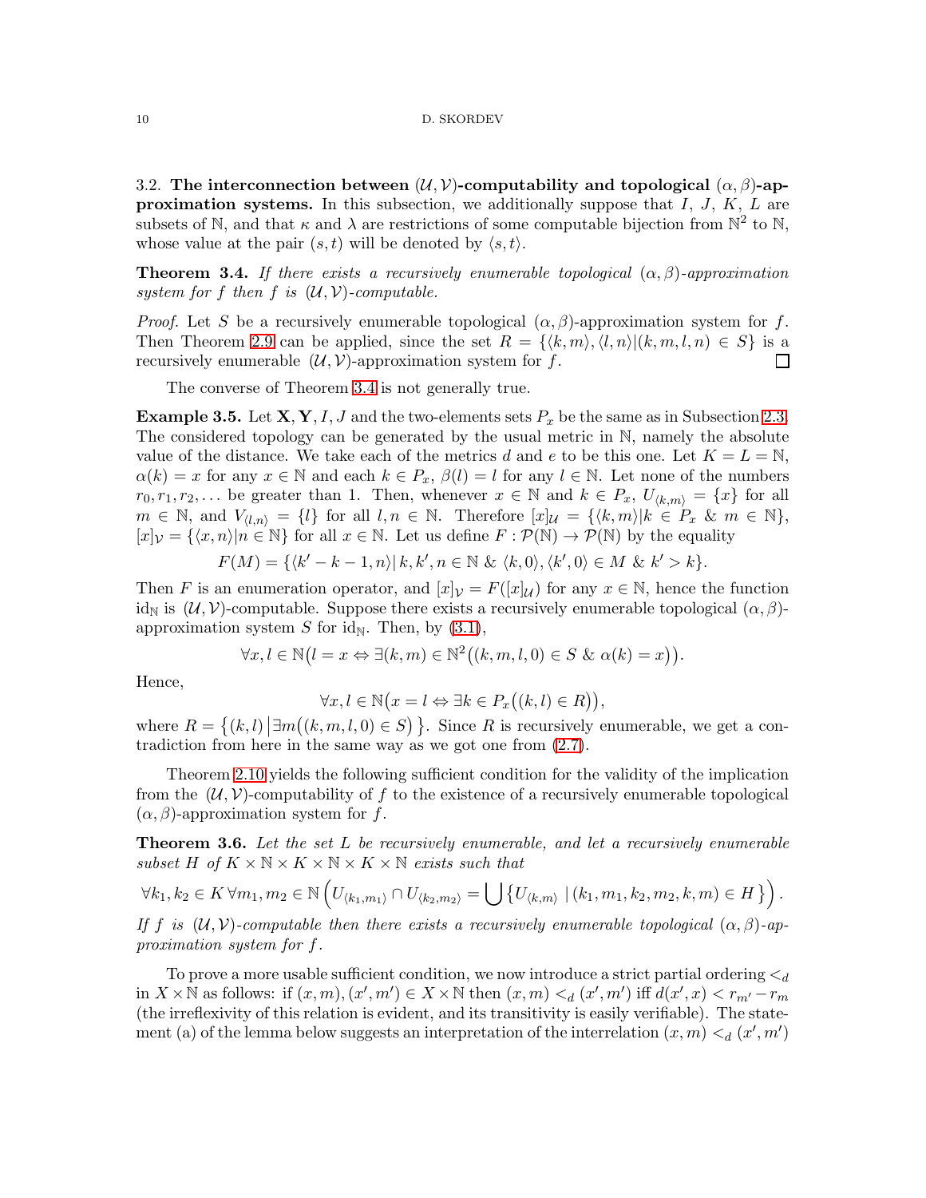<span id="page-9-0"></span>3.2. The interconnection between  $(\mathcal{U}, \mathcal{V})$ -computability and topological  $(\alpha, \beta)$ -ap**proximation systems.** In this subsection, we additionally suppose that  $I, J, K, L$  are subsets of N, and that  $\kappa$  and  $\lambda$  are restrictions of some computable bijection from  $\mathbb{N}^2$  to N, whose value at the pair  $(s, t)$  will be denoted by  $\langle s, t \rangle$ .

<span id="page-9-1"></span>**Theorem 3.4.** If there exists a recursively enumerable topological  $(\alpha, \beta)$ -approximation system for f then f is  $(\mathcal{U}, \mathcal{V})$ -computable.

*Proof.* Let S be a recursively enumerable topological  $(\alpha, \beta)$ -approximation system for f. Then Theorem [2.9](#page-5-4) can be applied, since the set  $R = \{ \langle k, m \rangle, \langle l, n \rangle | (k, m, l, n) \in S \}$  is a recursively enumerable  $(\mathcal{U}, \mathcal{V})$ -approximation system for f.  $\Box$ 

The converse of Theorem [3.4](#page-9-1) is not generally true.

<span id="page-9-3"></span>**Example 3.5.** Let  $X, Y, I, J$  and the two-elements sets  $P_x$  be the same as in Subsection [2.3.](#page-7-0) The considered topology can be generated by the usual metric in N, namely the absolute value of the distance. We take each of the metrics d and e to be this one. Let  $K = L = N$ ,  $\alpha(k) = x$  for any  $x \in \mathbb{N}$  and each  $k \in P_x$ ,  $\beta(l) = l$  for any  $l \in \mathbb{N}$ . Let none of the numbers  $r_0, r_1, r_2, \ldots$  be greater than 1. Then, whenever  $x \in \mathbb{N}$  and  $k \in P_x$ ,  $U_{\langle k,m \rangle} = \{x\}$  for all  $m \in \mathbb{N}$ , and  $V_{\langle l,n \rangle} = \{l\}$  for all  $l, n \in \mathbb{N}$ . Therefore  $[x]_{\mathcal{U}} = \{\langle k,m \rangle | k \in P_x \& m \in \mathbb{N}\},$  $[x]_{\mathcal{V}} = \{x, n\} | n \in \mathbb{N} \}$  for all  $x \in \mathbb{N}$ . Let us define  $F : \mathcal{P}(\mathbb{N}) \to \mathcal{P}(\mathbb{N})$  by the equality

$$
F(M) = \{ \langle k' - k - 1, n \rangle | k, k', n \in \mathbb{N} \& \langle k, 0 \rangle, \langle k', 0 \rangle \in M \& k' > k \}.
$$

Then F is an enumeration operator, and  $[x]_V = F([x]_U)$  for any  $x \in \mathbb{N}$ , hence the function id<sub>N</sub> is  $(\mathcal{U}, \mathcal{V})$ -computable. Suppose there exists a recursively enumerable topological  $(\alpha, \beta)$ approximation system S for id<sub>N</sub>. Then, by  $(3.1)$ ,

$$
\forall x, l \in \mathbb{N} \big( l = x \Leftrightarrow \exists (k, m) \in \mathbb{N}^2 \big( (k, m, l, 0) \in S \& \alpha(k) = x \big) \big).
$$

Hence,

$$
\forall x, l \in \mathbb{N} \big( x = l \Leftrightarrow \exists k \in P_x \big( (k, l) \in R \big) \big),
$$

where  $R = \{(k, l) | \exists m((k, m, l, 0) \in S) \}$ . Since R is recursively enumerable, we get a contradiction from here in the same way as we got one from [\(2.7\)](#page-7-1).

Theorem [2.10](#page-5-3) yields the following sufficient condition for the validity of the implication from the  $(\mathcal{U}, \mathcal{V})$ -computability of f to the existence of a recursively enumerable topological  $(\alpha, \beta)$ -approximation system for f.

<span id="page-9-2"></span>**Theorem 3.6.** Let the set L be recursively enumerable, and let a recursively enumerable subset H of  $K \times N \times K \times N \times K \times N$  exists such that

$$
\forall k_1, k_2 \in K \,\forall m_1, m_2 \in \mathbb{N} \left( U_{\langle k_1, m_1 \rangle} \cap U_{\langle k_2, m_2 \rangle} = \bigcup \left\{ U_{\langle k, m \rangle} \mid (\langle k_1, m_1, k_2, m_2, k, m \rangle \in H \right\} \right).
$$

If f is  $(\mathcal{U}, \mathcal{V})$ -computable then there exists a recursively enumerable topological  $(\alpha, \beta)$ -approximation system for f.

To prove a more usable sufficient condition, we now introduce a strict partial ordering  $\lt_d$ in  $X \times \mathbb{N}$  as follows: if  $(x, m), (x', m') \in X \times \mathbb{N}$  then  $(x, m) <_{d} (x', m')$  iff  $d(x', x) < r_{m'} - r_m$ (the irreflexivity of this relation is evident, and its transitivity is easily verifiable). The statement (a) of the lemma below suggests an interpretation of the interrelation  $(x, m) <_{d} (x', m')$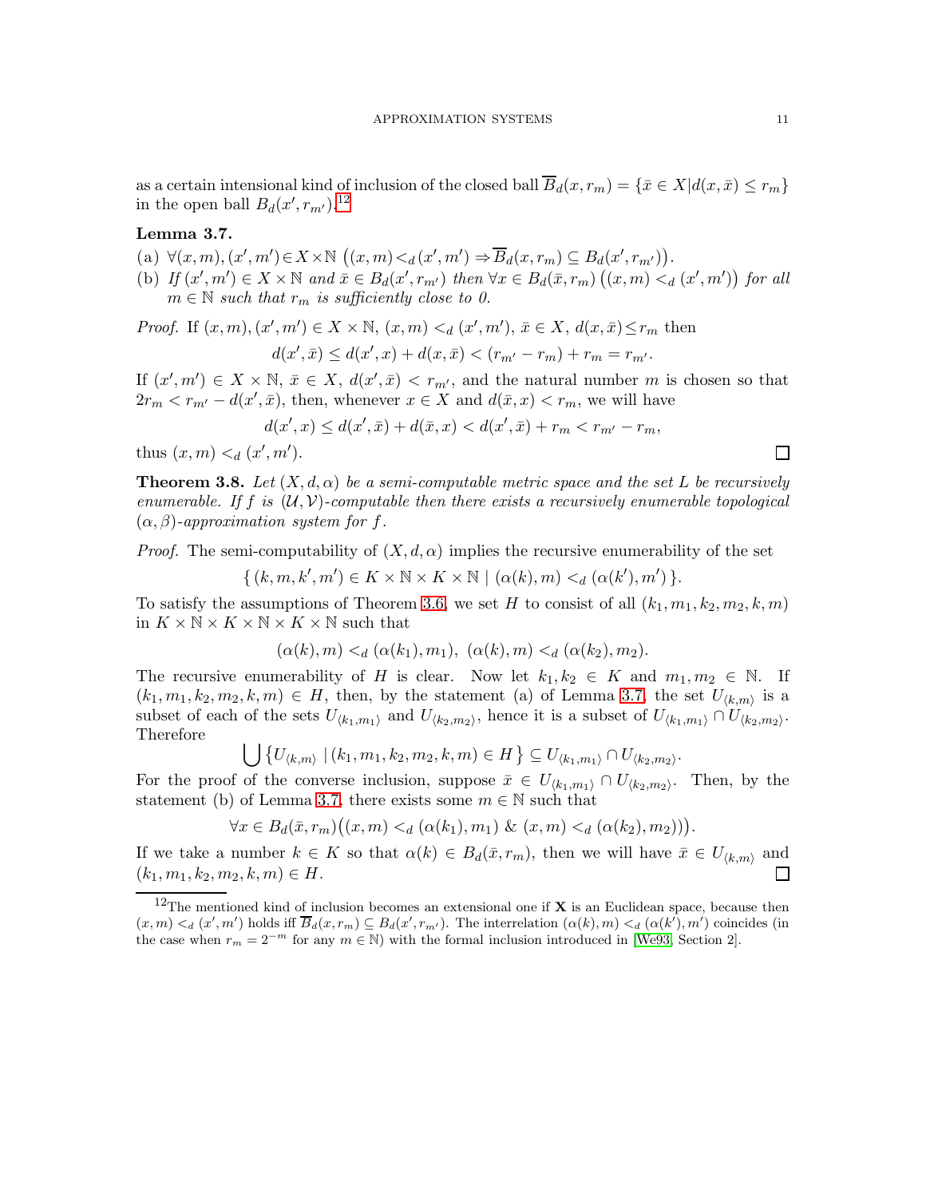as a certain intensional kind of inclusion of the closed ball  $\overline{B}_d(x,r_m) = \{\bar{x} \in X | d(x,\bar{x}) \le r_m\}$ in the open ball  $B_d(x', r_{m'})$ .<sup>[12](#page-10-0)</sup>

# <span id="page-10-1"></span>Lemma 3.7.

- (a)  $\forall (x, m), (x', m') \in X \times \mathbb{N} \ ((x, m) <_d (x', m') \Rightarrow \overline{B}_d(x, r_m) \subseteq B_d(x', r_{m'})).$
- (b) If  $(x', m') \in X \times \mathbb{N}$  and  $\bar{x} \in B_d(x', r_{m'})$  then  $\forall x \in B_d(\bar{x}, r_m)$   $((x, m) <_d (x', m'))$  for all  $m \in \mathbb{N}$  such that  $r_m$  is sufficiently close to 0.

*Proof.* If  $(x, m), (x', m') \in X \times \mathbb{N}, (x, m) \leq d (x', m'), \overline{x} \in X, d(x, \overline{x}) \leq r_m$  then  $d(x',\bar{x}) \leq d(x',x) + d(x,\bar{x}) < (r_{m'} - r_m) + r_m = r_{m'}$ .

If  $(x', m') \in X \times \mathbb{N}, \bar{x} \in X, d(x', \bar{x}) < r_{m'}$ , and the natural number m is chosen so that  $2r_m < r_{m'} - d(x', \bar{x})$ , then, whenever  $x \in X$  and  $d(\bar{x}, x) < r_m$ , we will have

$$
d(x',x) \le d(x',\bar{x}) + d(\bar{x},x) < d(x',\bar{x}) + r_m < r_{m'} - r_m,
$$

thus  $(x, m) <_d (x', m')$ .

<span id="page-10-2"></span>**Theorem 3.8.** Let  $(X, d, \alpha)$  be a semi-computable metric space and the set L be recursively enumerable. If f is  $(\mathcal{U}, \mathcal{V})$ -computable then there exists a recursively enumerable topological  $(\alpha, \beta)$ -approximation system for f.

*Proof.* The semi-computability of  $(X, d, \alpha)$  implies the recursive enumerability of the set

$$
\{ (k, m, k', m') \in K \times \mathbb{N} \times K \times \mathbb{N} \mid (\alpha(k), m) <_d (\alpha(k'), m') \}.
$$

To satisfy the assumptions of Theorem [3.6,](#page-9-2) we set H to consist of all  $(k_1, m_1, k_2, m_2, k, m)$ in  $K \times \mathbb{N} \times K \times \mathbb{N} \times K \times \mathbb{N}$  such that

$$
(\alpha(k), m) <_{d} (\alpha(k_1), m_1), \ (\alpha(k), m) <_{d} (\alpha(k_2), m_2).
$$

The recursive enumerability of H is clear. Now let  $k_1, k_2 \in K$  and  $m_1, m_2 \in \mathbb{N}$ . If  $(k_1, m_1, k_2, m_2, k, m) \in H$ , then, by the statement (a) of Lemma [3.7,](#page-10-1) the set  $U_{\langle k,m \rangle}$  is a subset of each of the sets  $U_{\langle k_1,m_1\rangle}$  and  $U_{\langle k_2,m_2\rangle}$ , hence it is a subset of  $U_{\langle k_1,m_1\rangle} \cap U_{\langle k_2,m_2\rangle}$ . Therefore

$$
\bigcup \left\{ U_{\langle k,m\rangle} \mid (k_1,m_1,k_2,m_2,k,m) \in H \right\} \subseteq U_{\langle k_1,m_1\rangle} \cap U_{\langle k_2,m_2\rangle}.
$$

For the proof of the converse inclusion, suppose  $\bar{x} \in U_{\langle k_1,m_1 \rangle} \cap U_{\langle k_2,m_2 \rangle}$ . Then, by the statement (b) of Lemma [3.7,](#page-10-1) there exists some  $m \in \mathbb{N}$  such that

$$
\forall x \in B_d(\bar{x}, r_m)((x, m) <_d (\alpha(k_1), m_1) \& (x, m) <_d (\alpha(k_2), m_2))).
$$

If we take a number  $k \in K$  so that  $\alpha(k) \in B_d(\bar{x}, r_m)$ , then we will have  $\bar{x} \in U_{\langle k,m \rangle}$  and  $(k_1, m_1, k_2, m_2, k, m) \in H$ . П

 $\Box$ 

<span id="page-10-0"></span><sup>&</sup>lt;sup>12</sup>The mentioned kind of inclusion becomes an extensional one if **X** is an Euclidean space, because then  $(x,m) <_d (x',m')$  holds iff  $\overline{B}_d(x,r_m) \subseteq B_d(x',r_{m'})$ . The interrelation  $(\alpha(k),m) <_d (\alpha(k'),m')$  coincides (in the case when  $r_m = 2^{-m}$  for any  $m \in \mathbb{N}$ ) with the formal inclusion introduced in [\[We93,](#page-20-10) Section 2].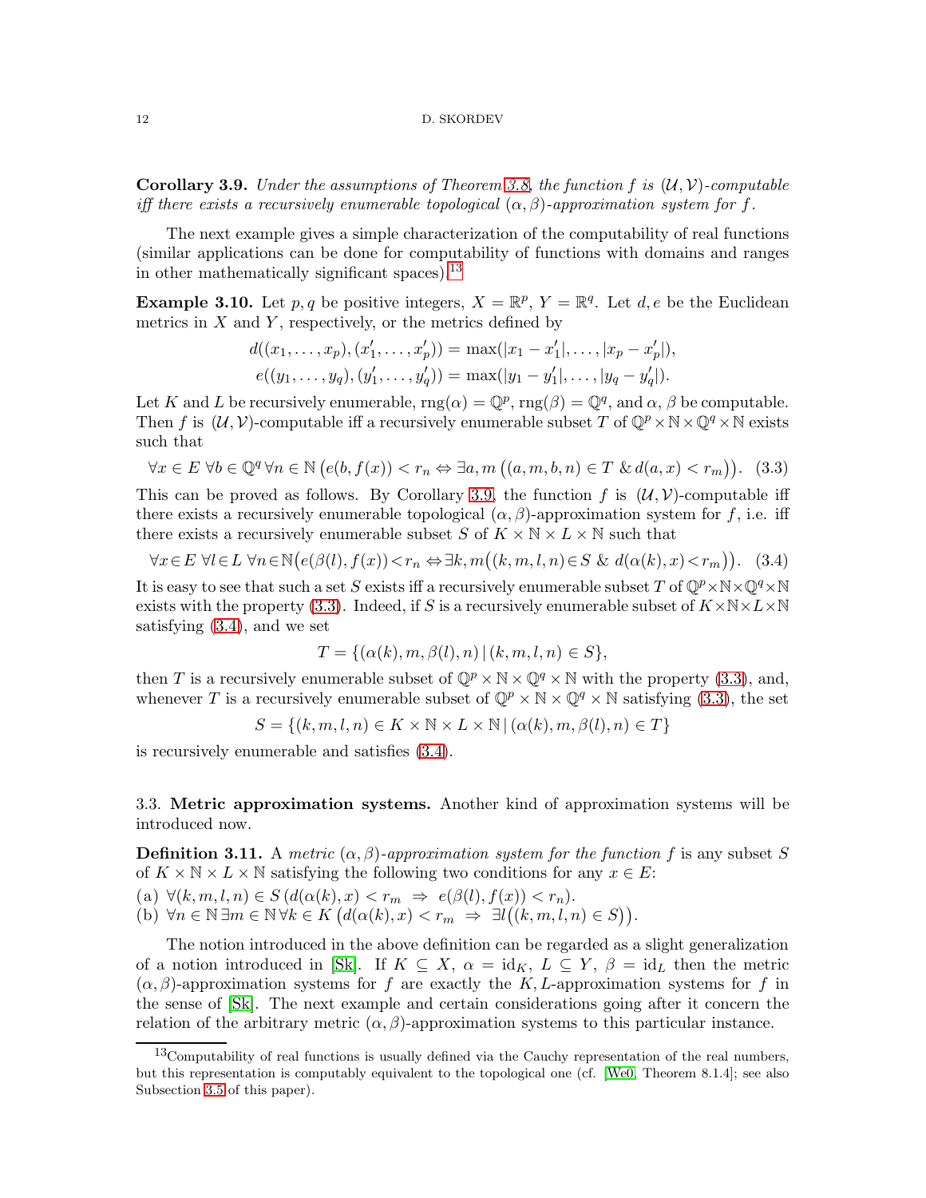<span id="page-11-2"></span>**Corollary 3.9.** Under the assumptions of Theorem [3.8,](#page-10-2) the function f is  $(\mathcal{U}, \mathcal{V})$ -computable iff there exists a recursively enumerable topological  $(\alpha, \beta)$ -approximation system for f.

The next example gives a simple characterization of the computability of real functions (similar applications can be done for computability of functions with domains and ranges in other mathematically significant spaces).<sup>[13](#page-11-1)</sup>

**Example 3.10.** Let p, q be positive integers,  $X = \mathbb{R}^p$ ,  $Y = \mathbb{R}^q$ . Let d, e be the Euclidean metrics in  $X$  and  $Y$ , respectively, or the metrics defined by

$$
d((x_1, \ldots, x_p), (x'_1, \ldots, x'_p)) = \max(|x_1 - x'_1|, \ldots, |x_p - x'_p|),
$$
  

$$
e((y_1, \ldots, y_q), (y'_1, \ldots, y'_q)) = \max(|y_1 - y'_1|, \ldots, |y_q - y'_q|).
$$

Let K and L be recursively enumerable,  $\text{rng}(\alpha) = \mathbb{Q}^p$ ,  $\text{rng}(\beta) = \mathbb{Q}^q$ , and  $\alpha$ ,  $\beta$  be computable. Then f is  $(U, V)$ -computable iff a recursively enumerable subset T of  $\mathbb{Q}^p \times \mathbb{N} \times \mathbb{Q}^q \times \mathbb{N}$  exists such that

<span id="page-11-3"></span>
$$
\forall x \in E \,\,\forall b \in \mathbb{Q}^q \,\forall n \in \mathbb{N} \,\big(e(b, f(x)) < r_n \Leftrightarrow \exists a, m \,\big((a, m, b, n) \in T \,\,\&\, d(a, x) < r_m\big)\big). \tag{3.3}
$$

This can be proved as follows. By Corollary [3.9,](#page-11-2) the function f is  $(\mathcal{U}, \mathcal{V})$ -computable iff there exists a recursively enumerable topological  $(\alpha, \beta)$ -approximation system for f, i.e. iff there exists a recursively enumerable subset S of  $K \times N \times L \times N$  such that

<span id="page-11-4"></span>
$$
\forall x \in E \ \forall l \in L \ \forall n \in \mathbb{N} \big(e(\beta(l), f(x)) < r_n \Leftrightarrow \exists k, m\big((k, m, l, n) \in S \ \& \ d(\alpha(k), x) < r_m\big)\big). \tag{3.4}
$$

It is easy to see that such a set S exists iff a recursively enumerable subset T of  $\mathbb{Q}^p\times\mathbb{N}\times\mathbb{Q}^q\times\mathbb{N}$ exists with the property [\(3.3\)](#page-11-3). Indeed, if S is a recursively enumerable subset of  $K \times N \times L \times N$ satisfying [\(3.4\)](#page-11-4), and we set

$$
T = \{ (\alpha(k), m, \beta(l), n) \mid (k, m, l, n) \in S \},
$$

then T is a recursively enumerable subset of  $\mathbb{Q}^p \times \mathbb{N} \times \mathbb{Q}^q \times \mathbb{N}$  with the property [\(3.3\)](#page-11-3), and, whenever T is a recursively enumerable subset of  $\mathbb{Q}^p \times \mathbb{N} \times \mathbb{Q}^q \times \mathbb{N}$  satisfying [\(3.3\)](#page-11-3), the set

$$
S = \{(k, m, l, n) \in K \times \mathbb{N} \times L \times \mathbb{N} \mid (\alpha(k), m, \beta(l), n) \in T\}
$$

is recursively enumerable and satisfies [\(3.4\)](#page-11-4).

<span id="page-11-0"></span>3.3. Metric approximation systems. Another kind of approximation systems will be introduced now.

<span id="page-11-5"></span>**Definition 3.11.** A metric  $(\alpha, \beta)$ -approximation system for the function f is any subset S of  $K \times N \times L \times N$  satisfying the following two conditions for any  $x \in E$ :

(a)  $\forall (k, m, l, n) \in S$   $(d(\alpha(k), x) < r_m \Rightarrow e(\beta(l), f(x)) < r_n)$ .

(b)  $\forall n \in \mathbb{N} \exists m \in \mathbb{N} \forall k \in K \big(d(\alpha(k), x) < r_m \Rightarrow \exists l \big((k, m, l, n) \in S\big)\big).$ 

The notion introduced in the above definition can be regarded as a slight generalization of a notion introduced in [\[Sk\]](#page-20-0). If  $K \subseteq X$ ,  $\alpha = id_K$ ,  $L \subseteq Y$ ,  $\beta = id_L$  then the metric  $(\alpha, \beta)$ -approximation systems for f are exactly the K, L-approximation systems for f in the sense of [\[Sk\]](#page-20-0). The next example and certain considerations going after it concern the relation of the arbitrary metric  $(\alpha, \beta)$ -approximation systems to this particular instance.

<span id="page-11-1"></span> $13$ Computability of real functions is usually defined via the Cauchy representation of the real numbers, but this representation is computably equivalent to the topological one (cf. [\[We0,](#page-20-1) Theorem 8.1.4]; see also Subsection [3.5](#page-16-0) of this paper).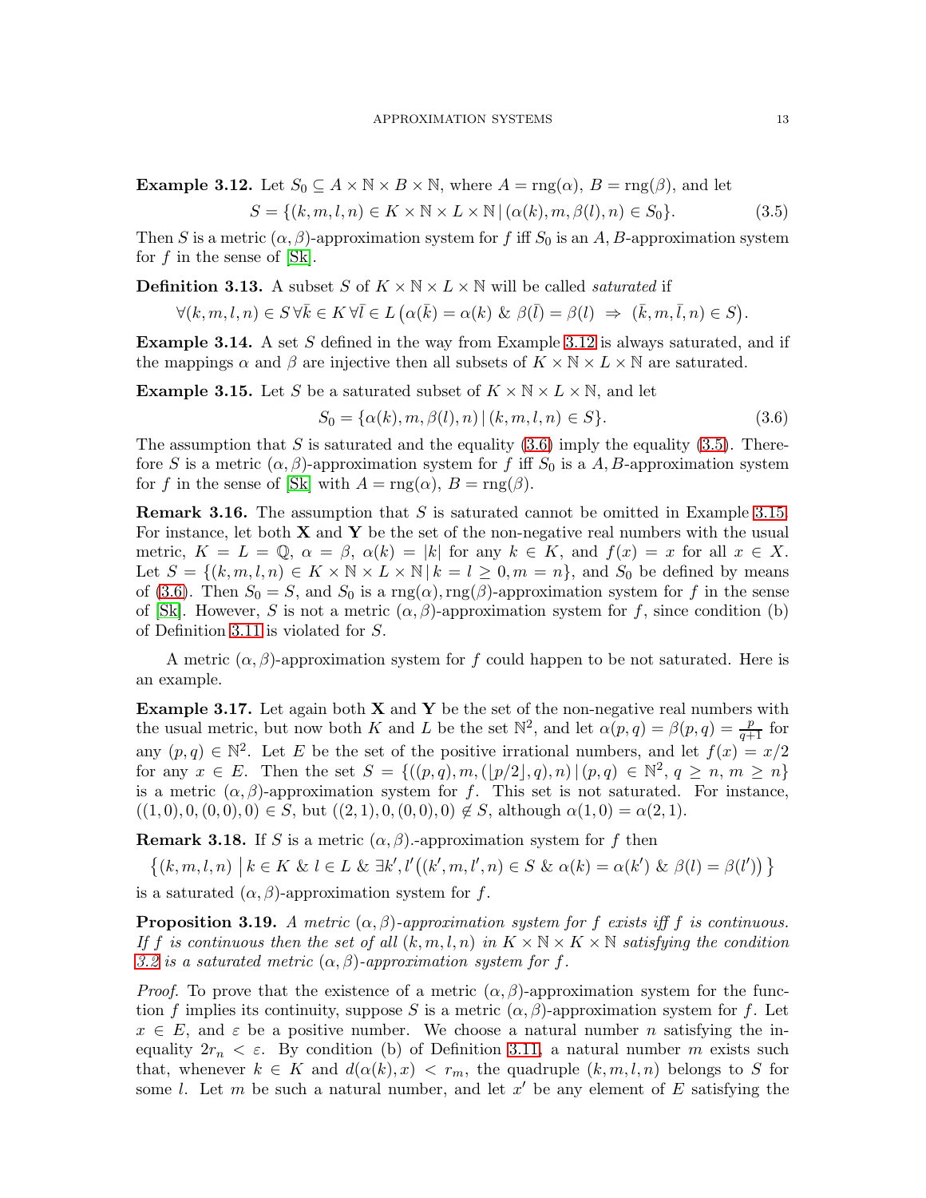<span id="page-12-0"></span>**Example 3.12.** Let  $S_0 \subseteq A \times \mathbb{N} \times B \times \mathbb{N}$ , where  $A = \text{rng}(\alpha)$ ,  $B = \text{rng}(\beta)$ , and let

<span id="page-12-2"></span>
$$
S = \{(k, m, l, n) \in K \times \mathbb{N} \times L \times \mathbb{N} \mid (\alpha(k), m, \beta(l), n) \in S_0\}.
$$
\n
$$
(3.5)
$$

Then S is a metric  $(\alpha, \beta)$ -approximation system for f iff  $S_0$  is an A, B-approximation system for  $f$  in the sense of  $[Sk]$ .

**Definition 3.13.** A subset S of  $K \times N \times L \times N$  will be called *saturated* if

$$
\forall (k,m,l,n) \in S \, \forall \bar{k} \in K \, \forall \bar{l} \in L \, \big( \alpha(\bar{k}) = \alpha(k) \, \, \& \, \, \beta(\bar{l}) = \beta(l) \ \Rightarrow \ \, (\bar{k},m,\bar{l},n) \in S \big).
$$

<span id="page-12-4"></span>**Example 3.14.** A set S defined in the way from Example [3.12](#page-12-0) is always saturated, and if the mappings  $\alpha$  and  $\beta$  are injective then all subsets of  $K \times \mathbb{N} \times L \times \mathbb{N}$  are saturated.

<span id="page-12-3"></span>**Example 3.15.** Let S be a saturated subset of  $K \times N \times L \times N$ , and let

<span id="page-12-1"></span>
$$
S_0 = \{ \alpha(k), m, \beta(l), n) \mid (k, m, l, n) \in S \}. \tag{3.6}
$$

The assumption that S is saturated and the equality  $(3.6)$  imply the equality  $(3.5)$ . Therefore S is a metric  $(\alpha, \beta)$ -approximation system for f iff  $S_0$  is a A, B-approximation system for f in the sense of [\[Sk\]](#page-20-0) with  $A = \text{rng}(\alpha)$ ,  $B = \text{rng}(\beta)$ .

**Remark 3.16.** The assumption that S is saturated cannot be omitted in Example [3.15.](#page-12-3) For instance, let both  $X$  and  $Y$  be the set of the non-negative real numbers with the usual metric,  $K = L = \mathbb{Q}$ ,  $\alpha = \beta$ ,  $\alpha(k) = |k|$  for any  $k \in K$ , and  $f(x) = x$  for all  $x \in X$ . Let  $S = \{(k, m, l, n) \in K \times \mathbb{N} \times L \times \mathbb{N} \mid k = l \geq 0, m = n\}$ , and  $S_0$  be defined by means of [\(3.6\)](#page-12-1). Then  $S_0 = S$ , and  $S_0$  is a rng( $\alpha$ ),rng( $\beta$ )-approximation system for f in the sense of [\[Sk\]](#page-20-0). However, S is not a metric  $(\alpha, \beta)$ -approximation system for f, since condition (b) of Definition [3.11](#page-11-5) is violated for S.

A metric  $(\alpha, \beta)$ -approximation system for f could happen to be not saturated. Here is an example.

**Example 3.17.** Let again both  $X$  and  $Y$  be the set of the non-negative real numbers with the usual metric, but now both K and L be the set  $\mathbb{N}^2$ , and let  $\alpha(p,q) = \beta(p,q) = \frac{p}{q+1}$  for any  $(p, q) \in \mathbb{N}^2$ . Let E be the set of the positive irrational numbers, and let  $f(x) = x/2$ for any  $x \in E$ . Then the set  $S = \{((p,q), m, (p/2], q), n) | (p,q) \in \mathbb{N}^2, q \ge n, m \ge n\}$ is a metric  $(\alpha, \beta)$ -approximation system for f. This set is not saturated. For instance,  $((1,0), 0, (0,0), 0) \in S$ , but  $((2,1), 0, (0,0), 0) \notin S$ , although  $\alpha(1,0) = \alpha(2,1)$ .

**Remark 3.18.** If S is a metric  $(\alpha, \beta)$ .-approximation system for f then

$$
\{(k,m,l,n) \mid k \in K \& l \in L \& \exists k', l'((k',m,l',n) \in S \& \alpha(k) = \alpha(k') \& \beta(l) = \beta(l'))\}
$$

is a saturated  $(\alpha, \beta)$ -approximation system for f.

<span id="page-12-5"></span>**Proposition 3.19.** A metric  $(\alpha, \beta)$ -approximation system for f exists iff f is continuous. If f is continuous then the set of all  $(k, m, l, n)$  in  $K \times N \times K \times N$  satisfying the condition [3.2](#page-8-4) is a saturated metric  $(\alpha, \beta)$ -approximation system for f.

*Proof.* To prove that the existence of a metric  $(\alpha, \beta)$ -approximation system for the function f implies its continuity, suppose S is a metric  $(\alpha, \beta)$ -approximation system for f. Let  $x \in E$ , and  $\varepsilon$  be a positive number. We choose a natural number n satisfying the inequality  $2r_n < \varepsilon$ . By condition (b) of Definition [3.11,](#page-11-5) a natural number m exists such that, whenever  $k \in K$  and  $d(\alpha(k), x) < r_m$ , the quadruple  $(k, m, l, n)$  belongs to S for some l. Let m be such a natural number, and let  $x'$  be any element of E satisfying the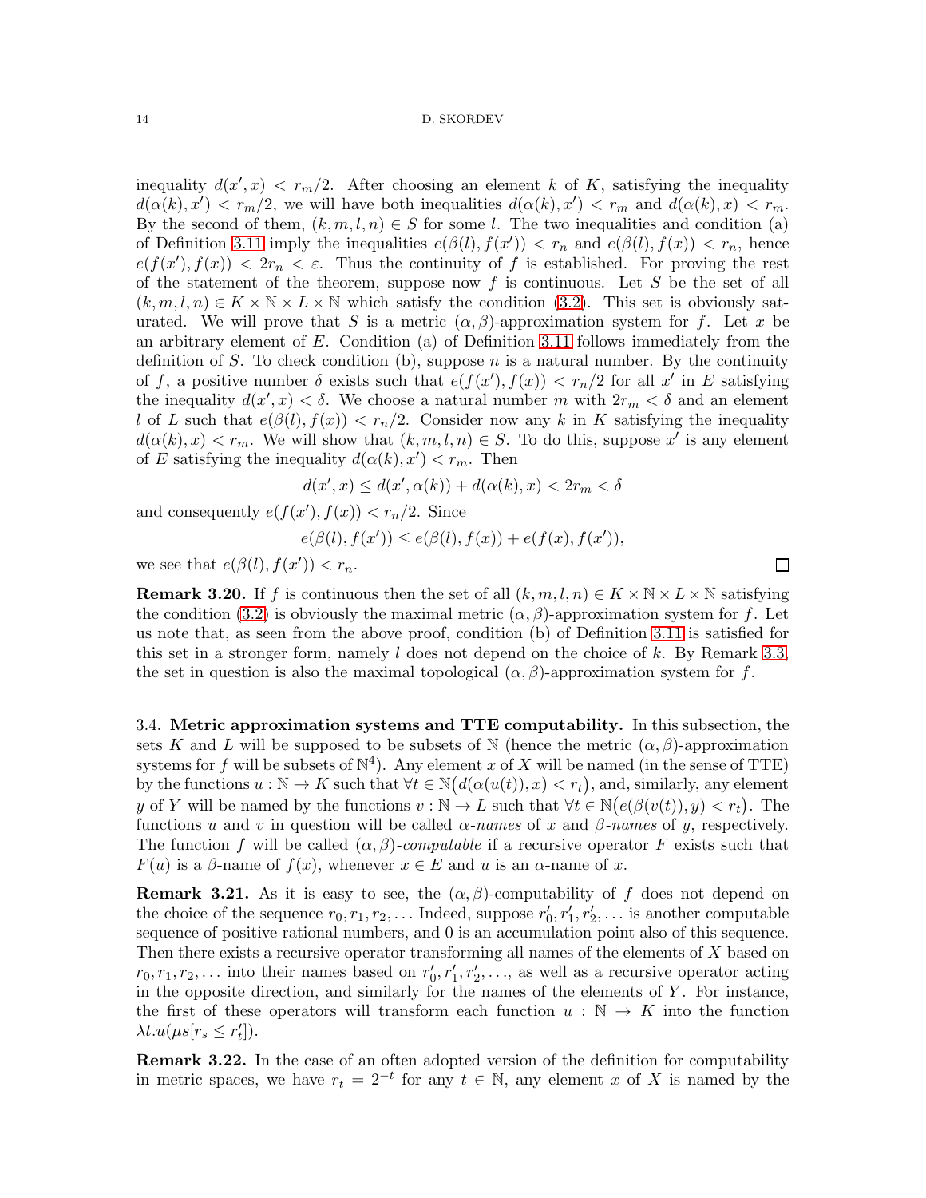inequality  $d(x',x) < r_m/2$ . After choosing an element k of K, satisfying the inequality  $d(\alpha(k), x') < r_m/2$ , we will have both inequalities  $d(\alpha(k), x') < r_m$  and  $d(\alpha(k), x) < r_m$ . By the second of them,  $(k, m, l, n) \in S$  for some l. The two inequalities and condition (a) of Definition [3.11](#page-11-5) imply the inequalities  $e(\beta(l), f(x')) < r_n$  and  $e(\beta(l), f(x)) < r_n$ , hence  $e(f(x'), f(x)) < 2r_n < \varepsilon$ . Thus the continuity of f is established. For proving the rest of the statement of the theorem, suppose now f is continuous. Let S be the set of all  $(k, m, l, n) \in K \times \mathbb{N} \times L \times \mathbb{N}$  which satisfy the condition [\(3.2\)](#page-8-4). This set is obviously saturated. We will prove that S is a metric  $(\alpha, \beta)$ -approximation system for f. Let x be an arbitrary element of  $E$ . Condition (a) of Definition [3.11](#page-11-5) follows immediately from the definition of S. To check condition (b), suppose n is a natural number. By the continuity of f, a positive number  $\delta$  exists such that  $e(f(x'), f(x)) < r_n/2$  for all  $x'$  in E satisfying the inequality  $d(x', x) < \delta$ . We choose a natural number m with  $2r_m < \delta$  and an element l of L such that  $e(\beta(l), f(x)) < r_n/2$ . Consider now any k in K satisfying the inequality  $d(\alpha(k),x) < r_m$ . We will show that  $(k,m,l,n) \in S$ . To do this, suppose x' is any element of E satisfying the inequality  $d(\alpha(k), x') < r_m$ . Then

$$
d(x',x) \le d(x',\alpha(k)) + d(\alpha(k),x) < 2r_m < \delta
$$

and consequently  $e(f(x'), f(x)) < r_n/2$ . Since

$$
e(\beta(l), f(x')) \le e(\beta(l), f(x)) + e(f(x), f(x')),
$$

we see that  $e(\beta(l), f(x')) < r_n$ .

<span id="page-13-1"></span>**Remark 3.20.** If f is continuous then the set of all  $(k, m, l, n) \in K \times \mathbb{N} \times L \times \mathbb{N}$  satisfying the condition [\(3.2\)](#page-8-4) is obviously the maximal metric  $(\alpha, \beta)$ -approximation system for f. Let us note that, as seen from the above proof, condition (b) of Definition [3.11](#page-11-5) is satisfied for this set in a stronger form, namely  $l$  does not depend on the choice of k. By Remark [3.3,](#page-8-5) the set in question is also the maximal topological  $(\alpha, \beta)$ -approximation system for f.

<span id="page-13-0"></span>3.4. Metric approximation systems and TTE computability. In this subsection, the sets K and L will be supposed to be subsets of N (hence the metric  $(\alpha, \beta)$ -approximation systems for f will be subsets of  $\mathbb{N}^4$ ). Any element x of X will be named (in the sense of TTE) by the functions  $u : \mathbb{N} \to K$  such that  $\forall t \in \mathbb{N} (d(\alpha(u(t)), x) < r_t)$ , and, similarly, any element y of Y will be named by the functions  $v : \mathbb{N} \to L$  such that  $\forall t \in \mathbb{N} \big(e(\beta(v(t)), y) < r_t\big)$ . The functions u and v in question will be called  $\alpha$ -names of x and  $\beta$ -names of y, respectively. The function f will be called  $(\alpha, \beta)$ -computable if a recursive operator F exists such that  $F(u)$  is a  $\beta$ -name of  $f(x)$ , whenever  $x \in E$  and u is an  $\alpha$ -name of x.

**Remark 3.21.** As it is easy to see, the  $(\alpha, \beta)$ -computability of f does not depend on the choice of the sequence  $r_0, r_1, r_2, \ldots$  Indeed, suppose  $r'_0, r'_1, r'_2, \ldots$  is another computable sequence of positive rational numbers, and 0 is an accumulation point also of this sequence. Then there exists a recursive operator transforming all names of the elements of  $X$  based on  $r_0, r_1, r_2, \ldots$  into their names based on  $r'_0, r'_1, r'_2, \ldots$ , as well as a recursive operator acting in the opposite direction, and similarly for the names of the elements of  $Y$ . For instance, the first of these operators will transform each function  $u : \mathbb{N} \to K$  into the function  $\lambda t.u(\mu s[r_s \leq r'_t]).$ 

Remark 3.22. In the case of an often adopted version of the definition for computability in metric spaces, we have  $r_t = 2^{-t}$  for any  $t \in \mathbb{N}$ , any element x of X is named by the

 $\Box$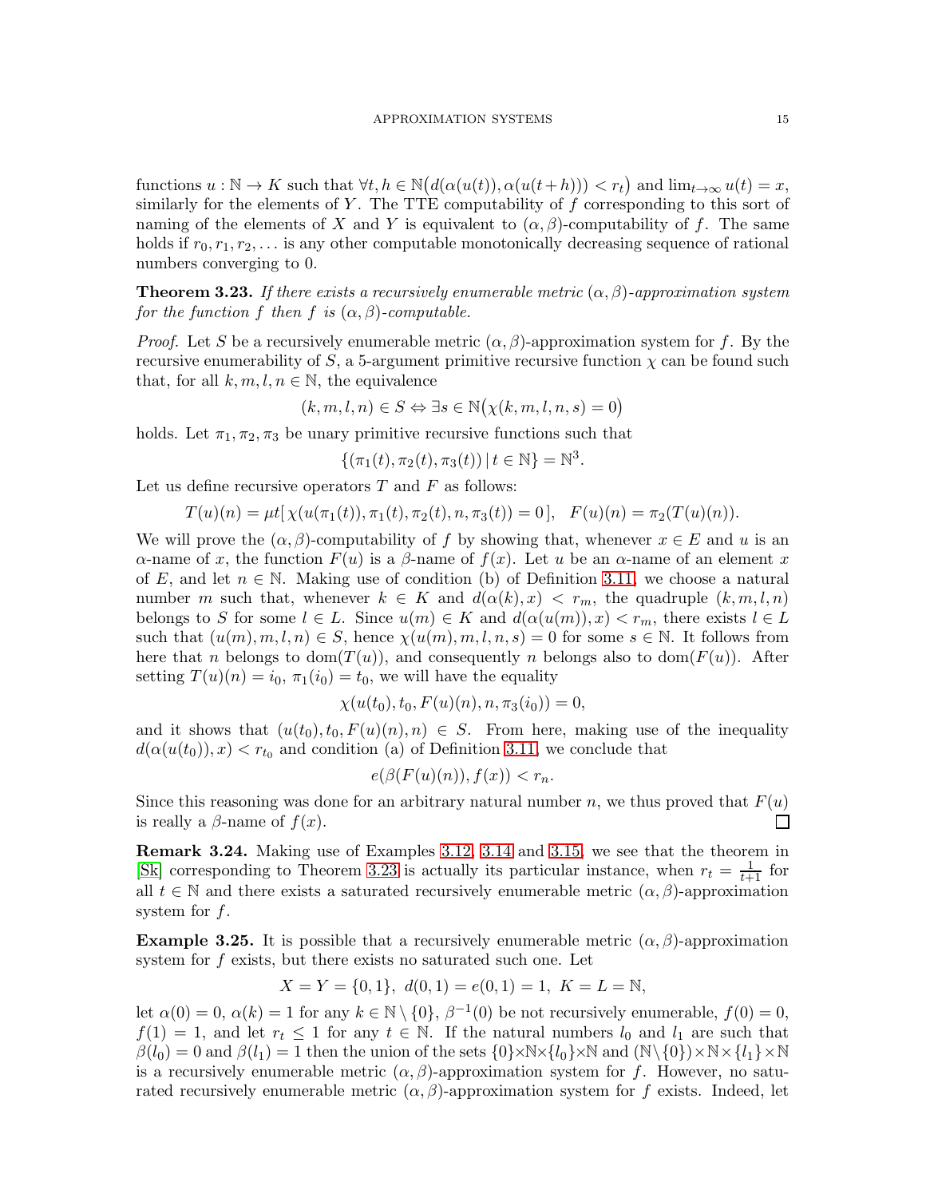functions  $u : \mathbb{N} \to K$  such that  $\forall t, h \in \mathbb{N} \big( d(\alpha(u(t)), \alpha(u(t+h))) < r_t \big)$  and  $\lim_{t \to \infty} u(t) = x$ , similarly for the elements of Y. The TTE computability of  $f$  corresponding to this sort of naming of the elements of X and Y is equivalent to  $(\alpha, \beta)$ -computability of f. The same holds if  $r_0, r_1, r_2, \ldots$  is any other computable monotonically decreasing sequence of rational numbers converging to 0.

<span id="page-14-0"></span>**Theorem 3.23.** If there exists a recursively enumerable metric  $(\alpha, \beta)$ -approximation system for the function f then f is  $(\alpha, \beta)$ -computable.

*Proof.* Let S be a recursively enumerable metric  $(\alpha, \beta)$ -approximation system for f. By the recursive enumerability of S, a 5-argument primitive recursive function  $\chi$  can be found such that, for all  $k, m, l, n \in \mathbb{N}$ , the equivalence

$$
(k, m, l, n) \in S \Leftrightarrow \exists s \in \mathbb{N}(\chi(k, m, l, n, s) = 0)
$$

holds. Let  $\pi_1, \pi_2, \pi_3$  be unary primitive recursive functions such that

$$
\{(\pi_1(t), \pi_2(t), \pi_3(t)) \, | \, t \in \mathbb{N}\} = \mathbb{N}^3.
$$

Let us define recursive operators  $T$  and  $F$  as follows:

$$
T(u)(n) = \mu t[\chi(u(\pi_1(t)), \pi_1(t), \pi_2(t), n, \pi_3(t)) = 0], \quad F(u)(n) = \pi_2(T(u)(n)).
$$

We will prove the  $(\alpha, \beta)$ -computability of f by showing that, whenever  $x \in E$  and u is an α-name of x, the function  $F(u)$  is a β-name of  $f(x)$ . Let u be an α-name of an element x of E, and let  $n \in \mathbb{N}$ . Making use of condition (b) of Definition [3.11,](#page-11-5) we choose a natural number m such that, whenever  $k \in K$  and  $d(\alpha(k), x) < r_m$ , the quadruple  $(k, m, l, n)$ belongs to S for some  $l \in L$ . Since  $u(m) \in K$  and  $d(\alpha(u(m)), x) < r_m$ , there exists  $l \in L$ such that  $(u(m), m, l, n) \in S$ , hence  $\chi(u(m), m, l, n, s) = 0$  for some  $s \in \mathbb{N}$ . It follows from here that n belongs to dom $(T(u))$ , and consequently n belongs also to dom $(F(u))$ . After setting  $T(u)(n) = i_0, \pi_1(i_0) = t_0$ , we will have the equality

$$
\chi(u(t_0), t_0, F(u)(n), n, \pi_3(i_0)) = 0,
$$

and it shows that  $(u(t_0), t_0, F(u)(n), n) \in S$ . From here, making use of the inequality  $d(\alpha(u(t_0)), x) < r_{t_0}$  and condition (a) of Definition [3.11,](#page-11-5) we conclude that

$$
e(\beta(F(u)(n)), f(x)) < r_n.
$$

Since this reasoning was done for an arbitrary natural number n, we thus proved that  $F(u)$ is really a  $\beta$ -name of  $f(x)$ . П

Remark 3.24. Making use of Examples [3.12,](#page-12-0) [3.14](#page-12-4) and [3.15,](#page-12-3) we see that the theorem in [\[Sk\]](#page-20-0) corresponding to Theorem [3.23](#page-14-0) is actually its particular instance, when  $r_t = \frac{1}{t+1}$  for all  $t \in \mathbb{N}$  and there exists a saturated recursively enumerable metric  $(\alpha, \beta)$ -approximation system for  $f$ .

<span id="page-14-1"></span>**Example 3.25.** It is possible that a recursively enumerable metric  $(\alpha, \beta)$ -approximation system for f exists, but there exists no saturated such one. Let

$$
X = Y = \{0, 1\}, \ d(0, 1) = e(0, 1) = 1, \ K = L = \mathbb{N},
$$

let  $\alpha(0) = 0$ ,  $\alpha(k) = 1$  for any  $k \in \mathbb{N} \setminus \{0\}$ ,  $\beta^{-1}(0)$  be not recursively enumerable,  $f(0) = 0$ ,  $f(1) = 1$ , and let  $r_t \leq 1$  for any  $t \in \mathbb{N}$ . If the natural numbers  $l_0$  and  $l_1$  are such that  $\beta(l_0) = 0$  and  $\beta(l_1) = 1$  then the union of the sets  $\{0\} \times N \times \{l_0\} \times N$  and  $(N \setminus \{0\}) \times N \times \{l_1\} \times N$ is a recursively enumerable metric  $(\alpha, \beta)$ -approximation system for f. However, no saturated recursively enumerable metric  $(\alpha, \beta)$ -approximation system for f exists. Indeed, let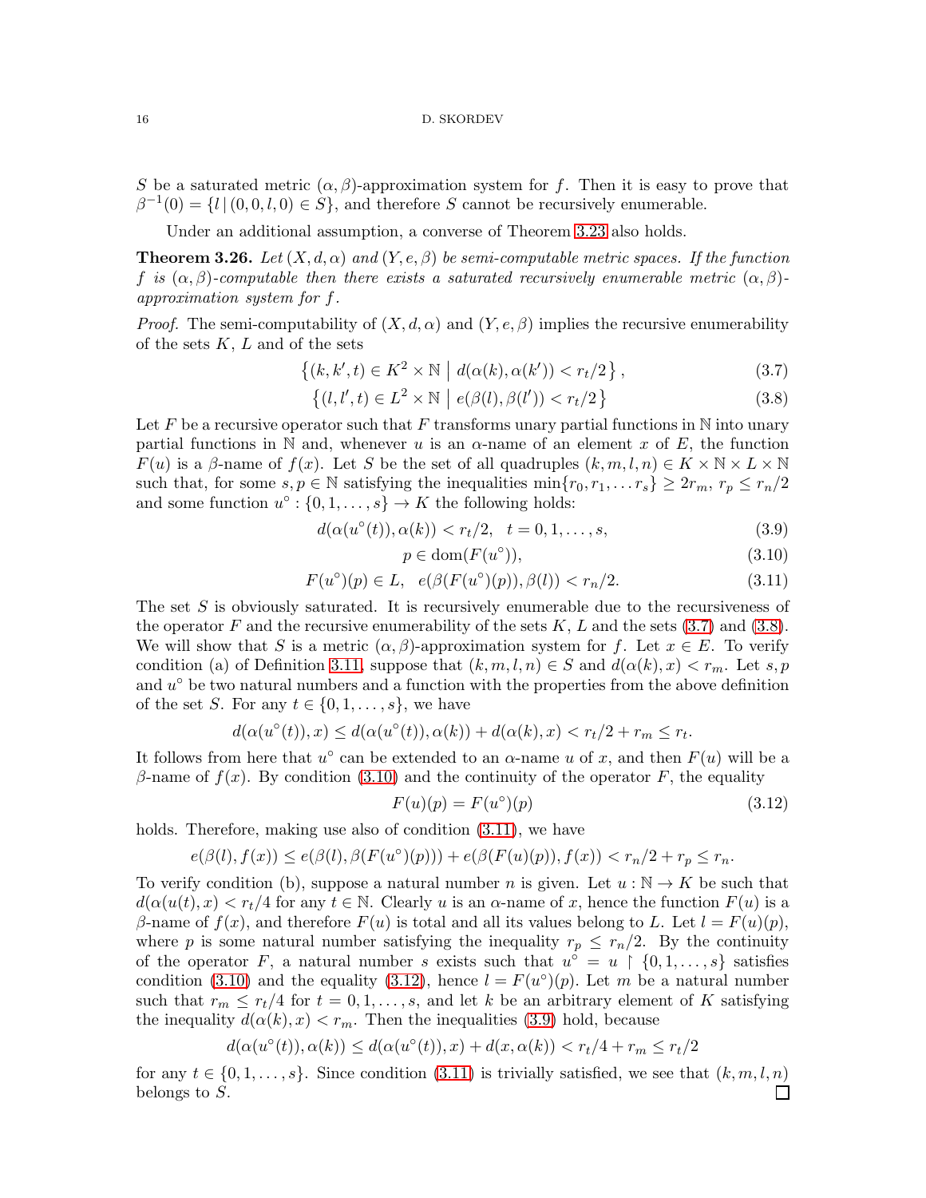S be a saturated metric  $(\alpha, \beta)$ -approximation system for f. Then it is easy to prove that  $\beta^{-1}(0) = \{l \mid (0, 0, l, 0) \in S\}$ , and therefore S cannot be recursively enumerable.

Under an additional assumption, a converse of Theorem [3.23](#page-14-0) also holds.

<span id="page-15-6"></span>**Theorem 3.26.** Let  $(X, d, \alpha)$  and  $(Y, e, \beta)$  be semi-computable metric spaces. If the function f is  $(\alpha, \beta)$ -computable then there exists a saturated recursively enumerable metric  $(\alpha, \beta)$ approximation system for f.

*Proof.* The semi-computability of  $(X, d, \alpha)$  and  $(Y, e, \beta)$  implies the recursive enumerability of the sets  $K, L$  and of the sets

$$
\{(k, k', t) \in K^2 \times \mathbb{N} \mid d(\alpha(k), \alpha(k')) < r_t/2\},\tag{3.7}
$$

$$
\{(l, l', t) \in L^2 \times \mathbb{N} \mid e(\beta(l), \beta(l')) < r_t/2\} \tag{3.8}
$$

Let F be a recursive operator such that F transforms unary partial functions in  $\mathbb N$  into unary partial functions in N and, whenever u is an  $\alpha$ -name of an element x of E, the function  $F(u)$  is a  $\beta$ -name of  $f(x)$ . Let S be the set of all quadruples  $(k, m, l, n) \in K \times \mathbb{N} \times L \times \mathbb{N}$ such that, for some  $s, p \in \mathbb{N}$  satisfying the inequalities  $\min\{r_0, r_1, \ldots r_s\} \geq 2r_m, r_p \leq r_n/2$ and some function  $u^{\circ} : \{0, 1, \ldots, s\} \to K$  the following holds:

$$
d(\alpha(u^{\circ}(t)), \alpha(k)) < r_t/2, \quad t = 0, 1, \dots, s,\tag{3.9}
$$

<span id="page-15-5"></span><span id="page-15-3"></span><span id="page-15-2"></span><span id="page-15-1"></span><span id="page-15-0"></span>
$$
p \in \text{dom}(F(u^{\circ})),\tag{3.10}
$$

$$
F(u^{\circ})(p) \in L, e(\beta(F(u^{\circ})(p)), \beta(l)) < r_n/2. \tag{3.11}
$$

The set  $S$  is obviously saturated. It is recursively enumerable due to the recursiveness of the operator F and the recursive enumerability of the sets  $K, L$  and the sets [\(3.7\)](#page-15-0) and [\(3.8\)](#page-15-1). We will show that S is a metric  $(\alpha, \beta)$ -approximation system for f. Let  $x \in E$ . To verify condition (a) of Definition [3.11,](#page-11-5) suppose that  $(k, m, l, n) \in S$  and  $d(\alpha(k), x) < r_m$ . Let s, p and  $u^{\circ}$  be two natural numbers and a function with the properties from the above definition of the set S. For any  $t \in \{0, 1, \ldots, s\}$ , we have

$$
d(\alpha(u^\circ(t)),x)\leq d(\alpha(u^\circ(t)),\alpha(k))+d(\alpha(k),x)< r_t/2+r_m\leq r_t.
$$

It follows from here that  $u^{\circ}$  can be extended to an  $\alpha$ -name u of x, and then  $F(u)$  will be a β-name of  $f(x)$ . By condition [\(3.10\)](#page-15-2) and the continuity of the operator F, the equality

<span id="page-15-4"></span>
$$
F(u)(p) = F(u^{\circ})(p) \tag{3.12}
$$

holds. Therefore, making use also of condition  $(3.11)$ , we have

$$
e(\beta(l),f(x)) \leq e(\beta(l),\beta(F(u^\circ)(p))) + e(\beta(F(u)(p)),f(x)) < r_n/2 + r_p \leq r_n.
$$

To verify condition (b), suppose a natural number n is given. Let  $u : \mathbb{N} \to K$  be such that  $d(\alpha(u(t), x) < r_t/4$  for any  $t \in \mathbb{N}$ . Clearly u is an  $\alpha$ -name of x, hence the function  $F(u)$  is a β-name of  $f(x)$ , and therefore  $F(u)$  is total and all its values belong to L. Let  $l = F(u)(p)$ , where p is some natural number satisfying the inequality  $r_p \leq r_n/2$ . By the continuity of the operator F, a natural number s exists such that  $u^{\circ} = u \upharpoonright \{0, 1, \ldots, s\}$  satisfies condition [\(3.10\)](#page-15-2) and the equality [\(3.12\)](#page-15-4), hence  $l = F(u^{\circ})(p)$ . Let m be a natural number such that  $r_m \leq r_t/4$  for  $t = 0, 1, \ldots, s$ , and let k be an arbitrary element of K satisfying the inequality  $d(\alpha(k), x) < r_m$ . Then the inequalities [\(3.9\)](#page-15-5) hold, because

$$
d(\alpha(u^{\circ}(t)), \alpha(k)) \leq d(\alpha(u^{\circ}(t)), x) + d(x, \alpha(k)) < r_t/4 + r_m \leq r_t/2
$$

for any  $t \in \{0, 1, \ldots, s\}$ . Since condition  $(3.11)$  is trivially satisfied, we see that  $(k, m, l, n)$ belongs to S. $\Box$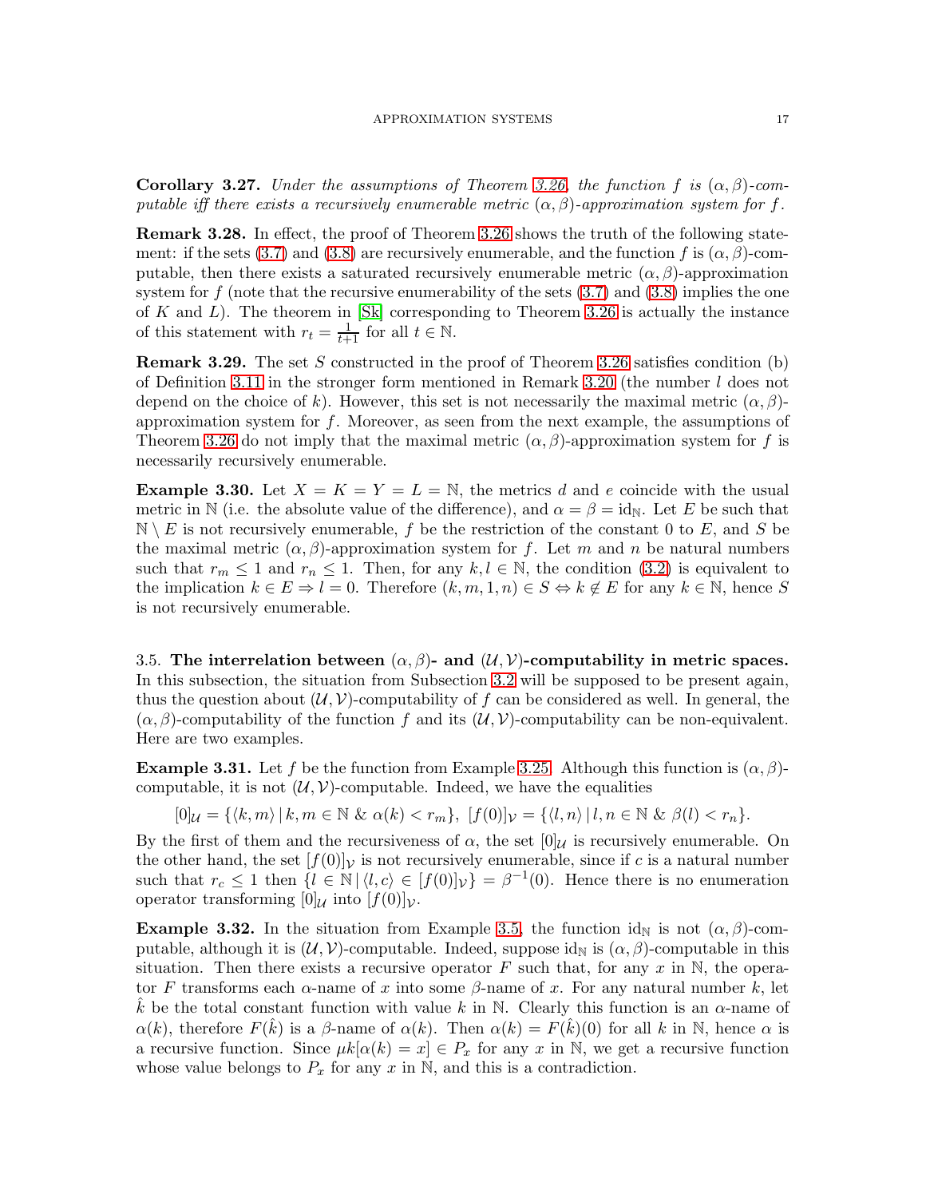<span id="page-16-1"></span>**Corollary 3.27.** Under the assumptions of Theorem [3.26,](#page-15-6) the function f is  $(\alpha, \beta)$ -computable iff there exists a recursively enumerable metric  $(\alpha, \beta)$ -approximation system for f.

**Remark 3.28.** In effect, the proof of Theorem [3.26](#page-15-6) shows the truth of the following state-ment: if the sets [\(3.7\)](#page-15-0) and [\(3.8\)](#page-15-1) are recursively enumerable, and the function f is  $(\alpha, \beta)$ -computable, then there exists a saturated recursively enumerable metric  $(\alpha, \beta)$ -approximation system for f (note that the recursive enumerability of the sets  $(3.7)$  and  $(3.8)$  implies the one of  $K$  and  $L$ ). The theorem in  $|S_k|$  corresponding to Theorem [3.26](#page-15-6) is actually the instance of this statement with  $r_t = \frac{1}{t+1}$  for all  $t \in \mathbb{N}$ .

**Remark 3.29.** The set S constructed in the proof of Theorem [3.26](#page-15-6) satisfies condition (b) of Definition [3.11](#page-11-5) in the stronger form mentioned in Remark [3.20](#page-13-1) (the number l does not depend on the choice of k). However, this set is not necessarily the maximal metric  $(\alpha, \beta)$ approximation system for  $f$ . Moreover, as seen from the next example, the assumptions of Theorem [3.26](#page-15-6) do not imply that the maximal metric  $(\alpha, \beta)$ -approximation system for f is necessarily recursively enumerable.

**Example 3.30.** Let  $X = K = Y = L = N$ , the metrics d and e coincide with the usual metric in N (i.e. the absolute value of the difference), and  $\alpha = \beta = id_N$ . Let E be such that  $\mathbb{N} \setminus E$  is not recursively enumerable, f be the restriction of the constant 0 to E, and S be the maximal metric  $(\alpha, \beta)$ -approximation system for f. Let m and n be natural numbers such that  $r_m \leq 1$  and  $r_n \leq 1$ . Then, for any  $k, l \in \mathbb{N}$ , the condition [\(3.2\)](#page-8-4) is equivalent to the implication  $k \in E \Rightarrow l = 0$ . Therefore  $(k, m, 1, n) \in S \Leftrightarrow k \notin E$  for any  $k \in \mathbb{N}$ , hence S is not recursively enumerable.

<span id="page-16-0"></span>3.5. The interrelation between  $(\alpha, \beta)$ - and  $(\mathcal{U}, \mathcal{V})$ -computability in metric spaces. In this subsection, the situation from Subsection [3.2](#page-9-0) will be supposed to be present again, thus the question about  $(U, V)$ -computability of f can be considered as well. In general, the  $(\alpha, \beta)$ -computability of the function f and its  $(\mathcal{U}, \mathcal{V})$ -computability can be non-equivalent. Here are two examples.

**Example 3.31.** Let f be the function from Example [3.25.](#page-14-1) Although this function is  $(\alpha, \beta)$ computable, it is not  $(\mathcal{U}, \mathcal{V})$ -computable. Indeed, we have the equalities

$$
[0]_{\mathcal{U}} = \{ \langle k, m \rangle \mid k, m \in \mathbb{N} \& \alpha(k) < r_m \}, \ [f(0)]_{\mathcal{V}} = \{ \langle l, n \rangle \mid l, n \in \mathbb{N} \& \beta(l) < r_n \}.
$$

By the first of them and the recursiveness of  $\alpha$ , the set  $[0]$ U is recursively enumerable. On the other hand, the set  $[f(0)]_V$  is not recursively enumerable, since if c is a natural number such that  $r_c \leq 1$  then  $\{l \in \mathbb{N} \mid \langle l, c \rangle \in [f(0)]\nu\} = \beta^{-1}(0)$ . Hence there is no enumeration operator transforming  $[0]$ <sub>U</sub> into  $[f(0)]$ <sub>V</sub>.

**Example 3.32.** In the situation from Example [3.5,](#page-9-3) the function id<sub>N</sub> is not  $(\alpha, \beta)$ -computable, although it is  $(\mathcal{U}, \mathcal{V})$ -computable. Indeed, suppose id<sub>N</sub> is  $(\alpha, \beta)$ -computable in this situation. Then there exists a recursive operator F such that, for any x in  $\mathbb N$ , the operator F transforms each  $\alpha$ -name of x into some  $\beta$ -name of x. For any natural number k, let k be the total constant function with value k in N. Clearly this function is an  $\alpha$ -name of  $\alpha(k)$ , therefore  $F(\hat{k})$  is a  $\beta$ -name of  $\alpha(k)$ . Then  $\alpha(k) = F(\hat{k})$  (0) for all k in N, hence  $\alpha$  is a recursive function. Since  $\mu k[\alpha(k) = x] \in P_x$  for any x in N, we get a recursive function whose value belongs to  $P_x$  for any x in N, and this is a contradiction.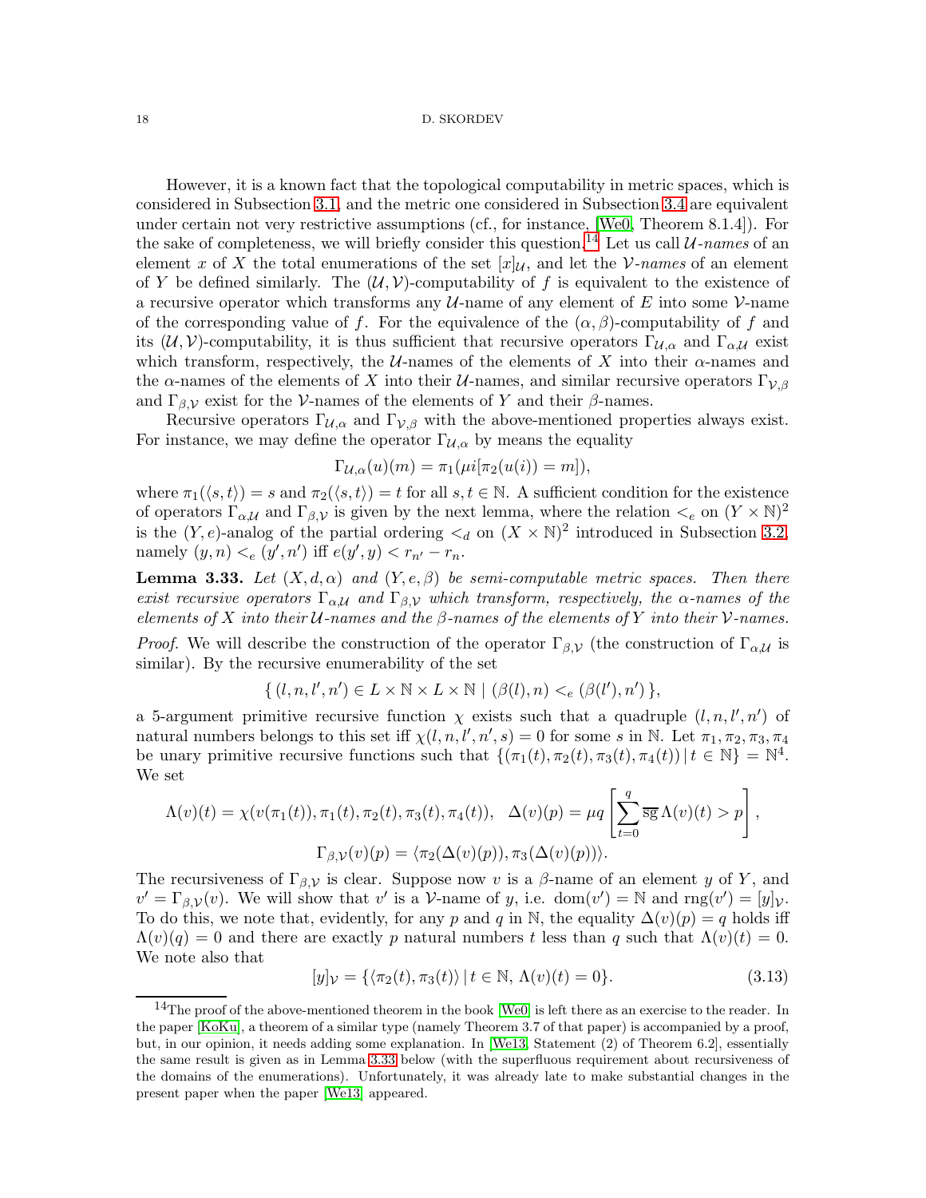However, it is a known fact that the topological computability in metric spaces, which is considered in Subsection [3.1,](#page-8-0) and the metric one considered in Subsection [3.4](#page-13-0) are equivalent under certain not very restrictive assumptions (cf., for instance, [\[We0,](#page-20-1) Theorem 8.1.4]). For the sake of completeness, we will briefly consider this question.<sup>[14](#page-17-0)</sup> Let us call  $\mathcal{U}\text{-}\n names of an$ element x of X the total enumerations of the set  $[x]$ <sub>U</sub>, and let the V-names of an element of Y be defined similarly. The  $(\mathcal{U}, \mathcal{V})$ -computability of f is equivalent to the existence of a recursive operator which transforms any  $U$ -name of any element of E into some  $V$ -name of the corresponding value of f. For the equivalence of the  $(\alpha, \beta)$ -computability of f and its  $(\mathcal{U}, \mathcal{V})$ -computability, it is thus sufficient that recursive operators  $\Gamma_{\mathcal{U},\alpha}$  and  $\Gamma_{\alpha,\mathcal{U}}$  exist which transform, respectively, the  $\mathcal{U}\text{-names}$  of the elements of X into their  $\alpha$ -names and the  $\alpha$ -names of the elements of X into their U-names, and similar recursive operators  $\Gamma_{\mathcal{V},\beta}$ and  $\Gamma_{\beta,\mathcal{V}}$  exist for the V-names of the elements of Y and their  $\beta$ -names.

Recursive operators  $\Gamma_{\mathcal{U},\alpha}$  and  $\Gamma_{\mathcal{V},\beta}$  with the above-mentioned properties always exist. For instance, we may define the operator  $\Gamma_{\mathcal{U},\alpha}$  by means the equality

$$
\Gamma_{\mathcal{U},\alpha}(u)(m) = \pi_1(\mu i[\pi_2(u(i)) = m]),
$$

where  $\pi_1(\langle s, t \rangle) = s$  and  $\pi_2(\langle s, t \rangle) = t$  for all  $s, t \in \mathbb{N}$ . A sufficient condition for the existence of operators  $\Gamma_{\alpha,\mathcal{U}}$  and  $\Gamma_{\beta,\mathcal{V}}$  is given by the next lemma, where the relation  $\lt_e$  on  $(Y \times \mathbb{N})^2$ is the  $(Y, e)$ -analog of the partial ordering  $\lt_d$  on  $(X \times N)^2$  introduced in Subsection [3.2,](#page-9-0) namely  $(y, n) <_{e} (y', n')$  iff  $e(y', y) < r_{n'} - r_n$ .

<span id="page-17-1"></span>**Lemma 3.33.** Let  $(X, d, \alpha)$  and  $(Y, e, \beta)$  be semi-computable metric spaces. Then there exist recursive operators  $\Gamma_{\alpha,\mathcal{U}}$  and  $\Gamma_{\beta,\mathcal{V}}$  which transform, respectively, the  $\alpha$ -names of the elements of X into their  $U$ -names and the  $\beta$ -names of the elements of Y into their  $V$ -names.

*Proof.* We will describe the construction of the operator  $\Gamma_{\beta,\mathcal{V}}$  (the construction of  $\Gamma_{\alpha,\mathcal{U}}$  is similar). By the recursive enumerability of the set

$$
\{ (l, n, l', n') \in L \times \mathbb{N} \times L \times \mathbb{N} \mid (\beta(l), n) <_{e} (\beta(l'), n') \},
$$

a 5-argument primitive recursive function  $\chi$  exists such that a quadruple  $(l, n, l', n')$  of natural numbers belongs to this set iff  $\chi(l,n,l',n',s) = 0$  for some s in N. Let  $\pi_1, \pi_2, \pi_3, \pi_4$ be unary primitive recursive functions such that  $\{(\pi_1(t), \pi_2(t), \pi_3(t), \pi_4(t)) | t \in \mathbb{N}\} = \mathbb{N}^4$ . We set

$$
\Lambda(v)(t) = \chi(v(\pi_1(t)), \pi_1(t), \pi_2(t), \pi_3(t), \pi_4(t)), \quad \Delta(v)(p) = \mu q \left[ \sum_{t=0}^q \overline{\mathrm{sg}} \Lambda(v)(t) > p \right],
$$

$$
\Gamma_{\beta, \mathcal{V}}(v)(p) = \langle \pi_2(\Delta(v)(p)), \pi_3(\Delta(v)(p)) \rangle.
$$

The recursiveness of  $\Gamma_{\beta,\mathcal{V}}$  is clear. Suppose now v is a  $\beta$ -name of an element y of Y, and  $v' = \Gamma_{\beta,\mathcal{V}}(v)$ . We will show that v' is a V-name of y, i.e.  $dom(v') = \mathbb{N}$  and  $rng(v') = [y]_{\mathcal{V}}$ . To do this, we note that, evidently, for any p and q in N, the equality  $\Delta(v)(p) = q$  holds iff  $\Lambda(v)(q) = 0$  and there are exactly p natural numbers t less than q such that  $\Lambda(v)(t) = 0$ . We note also that

<span id="page-17-2"></span>
$$
[y]_{\mathcal{V}} = \{ \langle \pi_2(t), \pi_3(t) \rangle \mid t \in \mathbb{N}, \Lambda(v)(t) = 0 \}.
$$
\n(3.13)

<span id="page-17-0"></span><sup>&</sup>lt;sup>14</sup>The proof of the above-mentioned theorem in the book [\[We0\]](#page-20-1) is left there as an exercise to the reader. In the paper [\[KoKu\]](#page-20-5), a theorem of a similar type (namely Theorem 3.7 of that paper) is accompanied by a proof, but, in our opinion, it needs adding some explanation. In [\[We13,](#page-20-8) Statement (2) of Theorem 6.2], essentially the same result is given as in Lemma [3.33](#page-17-1) below (with the superfluous requirement about recursiveness of the domains of the enumerations). Unfortunately, it was already late to make substantial changes in the present paper when the paper [\[We13\]](#page-20-8) appeared.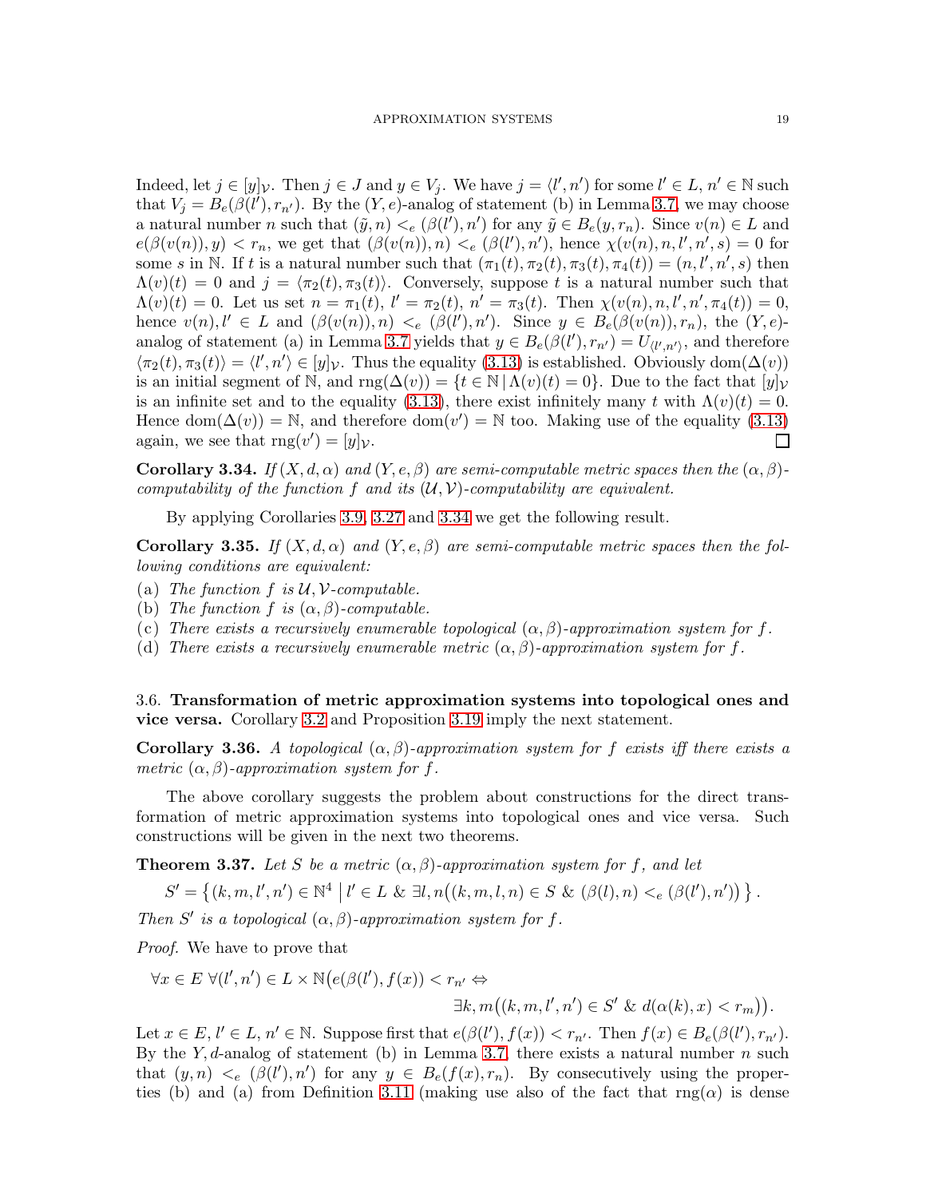Indeed, let  $j \in [y]_{\mathcal{V}}$ . Then  $j \in J$  and  $y \in V_j$ . We have  $j = \langle l', n' \rangle$  for some  $l' \in L$ ,  $n' \in \mathbb{N}$  such that  $V_j = B_e(\beta(l'), r_{n'})$ . By the  $(Y, e)$ -analog of statement (b) in Lemma [3.7,](#page-10-1) we may choose a natural number n such that  $(\tilde{y}, n) <_{e} (\beta(l'), n')$  for any  $\tilde{y} \in B_{e}(y, r_{n})$ . Since  $v(n) \in L$  and  $e(\beta(v(n)), y) < r_n$ , we get that  $(\beta(v(n)), n) <_e (\beta(l'), n')$ , hence  $\chi(v(n), n, l', n', s) = 0$  for some s in N. If t is a natural number such that  $(\pi_1(t), \pi_2(t), \pi_3(t), \pi_4(t)) = (n, l', n', s)$  then  $\Lambda(v)(t) = 0$  and  $j = \langle \pi_2(t), \pi_3(t) \rangle$ . Conversely, suppose t is a natural number such that  $\Lambda(v)(t) = 0$ . Let us set  $n = \pi_1(t)$ ,  $l' = \pi_2(t)$ ,  $n' = \pi_3(t)$ . Then  $\chi(v(n), n, l', n', \pi_4(t)) = 0$ , hence  $v(n)$ ,  $l' \in L$  and  $(\beta(v(n)), n) <_{e} (\beta(l'), n')$ . Since  $y \in B_{e}(\beta(v(n)), r_{n})$ , the  $(Y, e)$ -analog of statement (a) in Lemma [3.7](#page-10-1) yields that  $y \in B_e(\beta(l'), r_{n'}) = U_{\langle l', n' \rangle}$ , and therefore  $\langle \pi_2(t), \pi_3(t) \rangle = \langle l', n' \rangle \in [y]_{\mathcal{V}}$ . Thus the equality [\(3.13\)](#page-17-2) is established. Obviously dom $(\Delta(v))$ is an initial segment of N, and  $\text{rng}(\Delta(v)) = \{t \in \mathbb{N} \mid \Lambda(v)(t) = 0\}$ . Due to the fact that  $[y]_V$ is an infinite set and to the equality [\(3.13\)](#page-17-2), there exist infinitely many t with  $\Lambda(v)(t) = 0$ . Hence dom $(\Delta(v)) = \mathbb{N}$ , and therefore dom $(v') = \mathbb{N}$  too. Making use of the equality [\(3.13\)](#page-17-2) again, we see that  $\text{rng}(v') = [y]_{\mathcal{V}}$ .  $\Box$ 

<span id="page-18-1"></span>**Corollary 3.34.** If  $(X, d, \alpha)$  and  $(Y, e, \beta)$  are semi-computable metric spaces then the  $(\alpha, \beta)$ computability of the function f and its  $(\mathcal{U}, \mathcal{V})$ -computability are equivalent.

By applying Corollaries [3.9,](#page-11-2) [3.27](#page-16-1) and [3.34](#page-18-1) we get the following result.

<span id="page-18-2"></span>**Corollary 3.35.** If  $(X, d, \alpha)$  and  $(Y, e, \beta)$  are semi-computable metric spaces then the following conditions are equivalent:

- (a) The function  $f$  is  $\mathcal{U}, \mathcal{V}$ -computable.
- (b) The function f is  $(\alpha, \beta)$ -computable.
- (c) There exists a recursively enumerable topological  $(\alpha, \beta)$ -approximation system for f.
- (d) There exists a recursively enumerable metric  $(\alpha, \beta)$ -approximation system for f.

<span id="page-18-0"></span>3.6. Transformation of metric approximation systems into topological ones and vice versa. Corollary [3.2](#page-8-3) and Proposition [3.19](#page-12-5) imply the next statement.

Corollary 3.36. A topological  $(\alpha, \beta)$ -approximation system for f exists iff there exists a metric  $(\alpha, \beta)$ -approximation system for f.

The above corollary suggests the problem about constructions for the direct transformation of metric approximation systems into topological ones and vice versa. Such constructions will be given in the next two theorems.

<span id="page-18-3"></span>**Theorem 3.37.** Let S be a metric  $(\alpha, \beta)$ -approximation system for f, and let

$$
S' = \{(k, m, l', n') \in \mathbb{N}^4 \mid l' \in L \& \exists l, n((k, m, l, n) \in S \& (\beta(l), n) <_{e} (\beta(l'), n'))\}.
$$

Then S' is a topological  $(\alpha, \beta)$ -approximation system for f.

Proof. We have to prove that

$$
\forall x \in E \ \forall (l', n') \in L \times \mathbb{N} \big(e(\beta(l'), f(x)) < r_{n'} \Leftrightarrow
$$
\n
$$
\exists k, m \big((k, m, l', n') \in S' \ \& \ d(\alpha(k), x) < r_m \big) \big).
$$

Let  $x \in E$ ,  $l' \in L$ ,  $n' \in \mathbb{N}$ . Suppose first that  $e(\beta(l'), f(x)) < r_{n'}$ . Then  $f(x) \in B_e(\beta(l'), r_{n'})$ . By the Y, d-analog of statement (b) in Lemma [3.7,](#page-10-1) there exists a natural number  $n$  such that  $(y, n) <_{e} (\beta(l'), n')$  for any  $y \in B_e(f(x), r_n)$ . By consecutively using the proper-ties (b) and (a) from Definition [3.11](#page-11-5) (making use also of the fact that  $\text{rng}(\alpha)$  is dense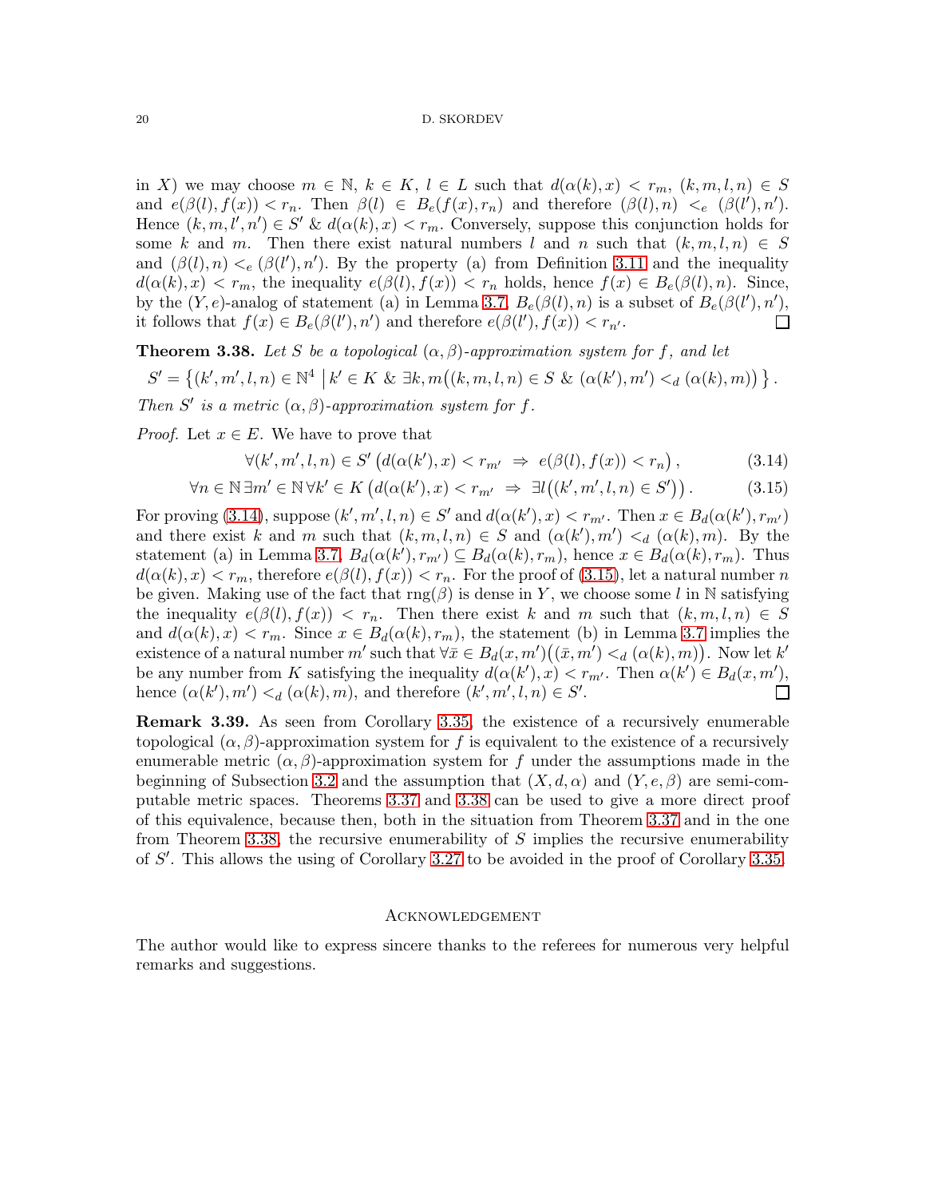in X) we may choose  $m \in \mathbb{N}$ ,  $k \in K$ ,  $l \in L$  such that  $d(\alpha(k), x) < r_m$ ,  $(k, m, l, n) \in S$ and  $e(\beta(l), f(x)) < r_n$ . Then  $\beta(l) \in B_e(f(x), r_n)$  and therefore  $(\beta(l), n) <_e (\beta(l'), n')$ . Hence  $(k, m, l', n') \in S'$  &  $d(\alpha(k), x) < r_m$ . Conversely, suppose this conjunction holds for some k and m. Then there exist natural numbers l and n such that  $(k, m, l, n) \in S$ and  $(\beta(l), n) <_{e} (\beta(l'), n')$ . By the property (a) from Definition [3.11](#page-11-5) and the inequality  $d(\alpha(k), x) < r_m$ , the inequality  $e(\beta(l), f(x)) < r_n$  holds, hence  $f(x) \in B_e(\beta(l), n)$ . Since, by the  $(Y, e)$ -analog of statement (a) in Lemma [3.7,](#page-10-1)  $B_e(\beta(l), n)$  is a subset of  $B_e(\beta(l'), n')$ , it follows that  $f(x) \in B_e(\beta(l'), n')$  and therefore  $e(\beta(l'), f(x)) < r_{n'}$ . П

<span id="page-19-2"></span>**Theorem 3.38.** Let S be a topological  $(\alpha, \beta)$ -approximation system for f, and let  $S' = \{(k', m', l, n) \in \mathbb{N}^4 \mid k' \in K \& \exists k, m((k, m, l, n) \in S \& (\alpha(k'), m') \leq_d (\alpha(k), m)) \}$ . Then S' is a metric  $(\alpha, \beta)$ -approximation system for f.

*Proof.* Let  $x \in E$ . We have to prove that

<span id="page-19-1"></span><span id="page-19-0"></span>
$$
\forall (k', m', l, n) \in S' \left( d(\alpha(k'), x) < r_{m'} \implies e(\beta(l), f(x)) < r_n \right),\tag{3.14}
$$

$$
\forall n \in \mathbb{N} \,\exists m' \in \mathbb{N} \,\forall k' \in K \left(d(\alpha(k'), x) < r_{m'} \Rightarrow \exists l \big((k', m', l, n) \in S'\big)\right). \tag{3.15}
$$

For proving [\(3.14\)](#page-19-0), suppose  $(k', m', l, n) \in S'$  and  $d(\alpha(k'), x) < r_{m'}$ . Then  $x \in B_d(\alpha(k'), r_{m'})$ and there exist k and m such that  $(k, m, l, n) \in S$  and  $(\alpha(k'), m') <_{d} (\alpha(k), m)$ . By the statement (a) in Lemma [3.7,](#page-10-1)  $B_d(\alpha(k'), r_{m'}) \subseteq B_d(\alpha(k), r_m)$ , hence  $x \in B_d(\alpha(k), r_m)$ . Thus  $d(\alpha(k), x) < r_m$ , therefore  $e(\beta(l), f(x)) < r_n$ . For the proof of [\(3.15\)](#page-19-1), let a natural number n be given. Making use of the fact that  $\text{rng}(\beta)$  is dense in Y, we choose some l in N satisfying the inequality  $e(\beta(l), f(x)) < r_n$ . Then there exist k and m such that  $(k, m, l, n) \in S$ and  $d(\alpha(k), x) < r_m$ . Since  $x \in B_d(\alpha(k), r_m)$ , the statement (b) in Lemma [3.7](#page-10-1) implies the existence of a natural number  $m'$  such that  $\forall \bar{x} \in B_d(x, m')((\bar{x}, m') \leq_d (\alpha(k), m))$ . Now let  $k'$ be any number from K satisfying the inequality  $d(\alpha(k'), x) < r_{m'}$ . Then  $\alpha(k') \in B_d(x, m')$ , hence  $(\alpha(k'), m') <_{d} (\alpha(k), m)$ , and therefore  $(k', m', l, n) \in S'$ .  $\Box$ 

Remark 3.39. As seen from Corollary [3.35,](#page-18-2) the existence of a recursively enumerable topological  $(\alpha, \beta)$ -approximation system for f is equivalent to the existence of a recursively enumerable metric  $(\alpha, \beta)$ -approximation system for f under the assumptions made in the beginning of Subsection [3.2](#page-9-0) and the assumption that  $(X, d, \alpha)$  and  $(Y, e, \beta)$  are semi-computable metric spaces. Theorems [3.37](#page-18-3) and [3.38](#page-19-2) can be used to give a more direct proof of this equivalence, because then, both in the situation from Theorem [3.37](#page-18-3) and in the one from Theorem [3.38,](#page-19-2) the recursive enumerability of  $S$  implies the recursive enumerability of S ′ . This allows the using of Corollary [3.27](#page-16-1) to be avoided in the proof of Corollary [3.35.](#page-18-2)

## **ACKNOWLEDGEMENT**

The author would like to express sincere thanks to the referees for numerous very helpful remarks and suggestions.